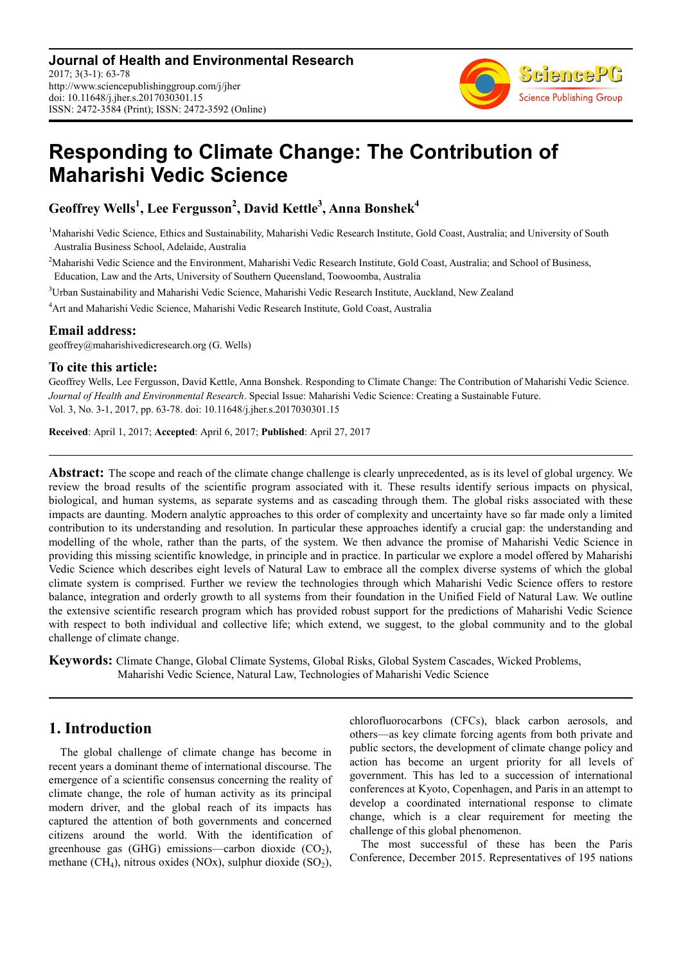

# **Responding to Climate Change: The Contribution of Maharishi Vedic Science**

**Geoffrey Wells<sup>1</sup> , Lee Fergusson<sup>2</sup> , David Kettle<sup>3</sup> , Anna Bonshek<sup>4</sup>**

<sup>1</sup>Maharishi Vedic Science, Ethics and Sustainability, Maharishi Vedic Research Institute, Gold Coast, Australia; and University of South Australia Business School, Adelaide, Australia

<sup>2</sup>Maharishi Vedic Science and the Environment, Maharishi Vedic Research Institute, Gold Coast, Australia; and School of Business, Education, Law and the Arts, University of Southern Queensland, Toowoomba, Australia

<sup>3</sup>Urban Sustainability and Maharishi Vedic Science, Maharishi Vedic Research Institute, Auckland, New Zealand

<sup>4</sup>Art and Maharishi Vedic Science, Maharishi Vedic Research Institute, Gold Coast, Australia

### **Email address:**

geoffrey@maharishivedicresearch.org (G. Wells)

## **To cite this article:**

Geoffrey Wells, Lee Fergusson, David Kettle, Anna Bonshek. Responding to Climate Change: The Contribution of Maharishi Vedic Science. *Journal of Health and Environmental Research*. Special Issue: Maharishi Vedic Science: Creating a Sustainable Future. Vol. 3, No. 3-1, 2017, pp. 63-78. doi: 10.11648/j.jher.s.2017030301.15

**Received**: April 1, 2017; **Accepted**: April 6, 2017; **Published**: April 27, 2017

**Abstract:** The scope and reach of the climate change challenge is clearly unprecedented, as is its level of global urgency. We review the broad results of the scientific program associated with it. These results identify serious impacts on physical, biological, and human systems, as separate systems and as cascading through them. The global risks associated with these impacts are daunting. Modern analytic approaches to this order of complexity and uncertainty have so far made only a limited contribution to its understanding and resolution. In particular these approaches identify a crucial gap: the understanding and modelling of the whole, rather than the parts, of the system. We then advance the promise of Maharishi Vedic Science in providing this missing scientific knowledge, in principle and in practice. In particular we explore a model offered by Maharishi Vedic Science which describes eight levels of Natural Law to embrace all the complex diverse systems of which the global climate system is comprised. Further we review the technologies through which Maharishi Vedic Science offers to restore balance, integration and orderly growth to all systems from their foundation in the Unified Field of Natural Law. We outline the extensive scientific research program which has provided robust support for the predictions of Maharishi Vedic Science with respect to both individual and collective life; which extend, we suggest, to the global community and to the global challenge of climate change.

**Keywords:** Climate Change, Global Climate Systems, Global Risks, Global System Cascades, Wicked Problems, Maharishi Vedic Science, Natural Law, Technologies of Maharishi Vedic Science

# **1. Introduction**

The global challenge of climate change has become in recent years a dominant theme of international discourse. The emergence of a scientific consensus concerning the reality of climate change, the role of human activity as its principal modern driver, and the global reach of its impacts has captured the attention of both governments and concerned citizens around the world. With the identification of greenhouse gas  $(GHG)$  emissions—carbon dioxide  $(CO<sub>2</sub>)$ , methane (CH<sub>4</sub>), nitrous oxides (NOx), sulphur dioxide (SO<sub>2</sub>), chlorofluorocarbons (CFCs), black carbon aerosols, and others—as key climate forcing agents from both private and public sectors, the development of climate change policy and action has become an urgent priority for all levels of government. This has led to a succession of international conferences at Kyoto, Copenhagen, and Paris in an attempt to develop a coordinated international response to climate change, which is a clear requirement for meeting the challenge of this global phenomenon.

The most successful of these has been the Paris Conference, December 2015. Representatives of 195 nations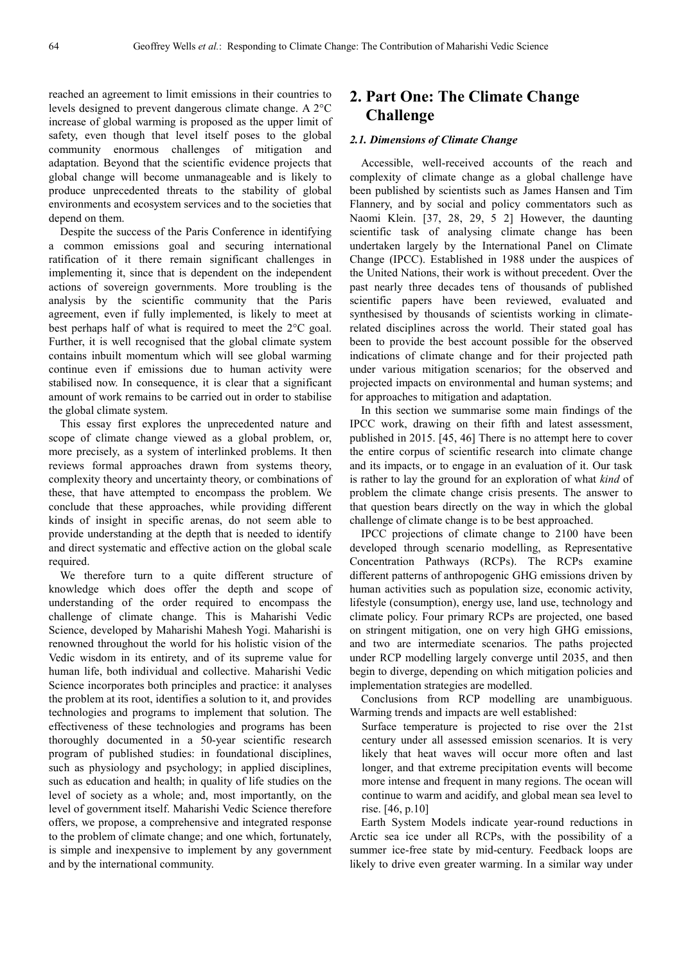reached an agreement to limit emissions in their countries to levels designed to prevent dangerous climate change. A 2°C increase of global warming is proposed as the upper limit of safety, even though that level itself poses to the global community enormous challenges of mitigation and adaptation. Beyond that the scientific evidence projects that global change will become unmanageable and is likely to produce unprecedented threats to the stability of global environments and ecosystem services and to the societies that depend on them.

Despite the success of the Paris Conference in identifying a common emissions goal and securing international ratification of it there remain significant challenges in implementing it, since that is dependent on the independent actions of sovereign governments. More troubling is the analysis by the scientific community that the Paris agreement, even if fully implemented, is likely to meet at best perhaps half of what is required to meet the 2°C goal. Further, it is well recognised that the global climate system contains inbuilt momentum which will see global warming continue even if emissions due to human activity were stabilised now. In consequence, it is clear that a significant amount of work remains to be carried out in order to stabilise the global climate system.

This essay first explores the unprecedented nature and scope of climate change viewed as a global problem, or, more precisely, as a system of interlinked problems. It then reviews formal approaches drawn from systems theory, complexity theory and uncertainty theory, or combinations of these, that have attempted to encompass the problem. We conclude that these approaches, while providing different kinds of insight in specific arenas, do not seem able to provide understanding at the depth that is needed to identify and direct systematic and effective action on the global scale required.

We therefore turn to a quite different structure of knowledge which does offer the depth and scope of understanding of the order required to encompass the challenge of climate change. This is Maharishi Vedic Science, developed by Maharishi Mahesh Yogi. Maharishi is renowned throughout the world for his holistic vision of the Vedic wisdom in its entirety, and of its supreme value for human life, both individual and collective. Maharishi Vedic Science incorporates both principles and practice: it analyses the problem at its root, identifies a solution to it, and provides technologies and programs to implement that solution. The effectiveness of these technologies and programs has been thoroughly documented in a 50-year scientific research program of published studies: in foundational disciplines, such as physiology and psychology; in applied disciplines, such as education and health; in quality of life studies on the level of society as a whole; and, most importantly, on the level of government itself. Maharishi Vedic Science therefore offers, we propose, a comprehensive and integrated response to the problem of climate change; and one which, fortunately, is simple and inexpensive to implement by any government and by the international community.

# **2. Part One: The Climate Change Challenge**

#### *2.1. Dimensions of Climate Change*

Accessible, well-received accounts of the reach and complexity of climate change as a global challenge have been published by scientists such as James Hansen and Tim Flannery, and by social and policy commentators such as Naomi Klein. [37, 28, 29, 5 2] However, the daunting scientific task of analysing climate change has been undertaken largely by the International Panel on Climate Change (IPCC). Established in 1988 under the auspices of the United Nations, their work is without precedent. Over the past nearly three decades tens of thousands of published scientific papers have been reviewed, evaluated and synthesised by thousands of scientists working in climaterelated disciplines across the world. Their stated goal has been to provide the best account possible for the observed indications of climate change and for their projected path under various mitigation scenarios; for the observed and projected impacts on environmental and human systems; and for approaches to mitigation and adaptation.

In this section we summarise some main findings of the IPCC work, drawing on their fifth and latest assessment, published in 2015. [45, 46] There is no attempt here to cover the entire corpus of scientific research into climate change and its impacts, or to engage in an evaluation of it. Our task is rather to lay the ground for an exploration of what *kind* of problem the climate change crisis presents. The answer to that question bears directly on the way in which the global challenge of climate change is to be best approached.

IPCC projections of climate change to 2100 have been developed through scenario modelling, as Representative Concentration Pathways (RCPs). The RCPs examine different patterns of anthropogenic GHG emissions driven by human activities such as population size, economic activity, lifestyle (consumption), energy use, land use, technology and climate policy. Four primary RCPs are projected, one based on stringent mitigation, one on very high GHG emissions, and two are intermediate scenarios. The paths projected under RCP modelling largely converge until 2035, and then begin to diverge, depending on which mitigation policies and implementation strategies are modelled.

Conclusions from RCP modelling are unambiguous. Warming trends and impacts are well established:

Surface temperature is projected to rise over the 21st century under all assessed emission scenarios. It is very likely that heat waves will occur more often and last longer, and that extreme precipitation events will become more intense and frequent in many regions. The ocean will continue to warm and acidify, and global mean sea level to rise. [46, p.10]

Earth System Models indicate year-round reductions in Arctic sea ice under all RCPs, with the possibility of a summer ice-free state by mid-century. Feedback loops are likely to drive even greater warming. In a similar way under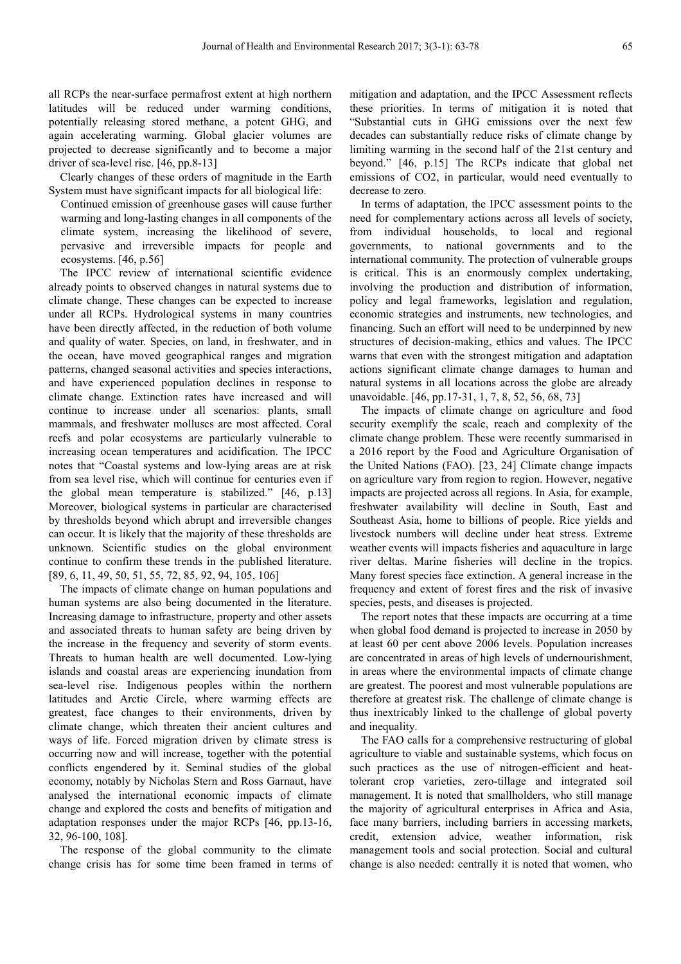all RCPs the near-surface permafrost extent at high northern latitudes will be reduced under warming conditions, potentially releasing stored methane, a potent GHG, and again accelerating warming. Global glacier volumes are projected to decrease significantly and to become a major driver of sea-level rise. [46, pp.8-13]

Clearly changes of these orders of magnitude in the Earth System must have significant impacts for all biological life:

Continued emission of greenhouse gases will cause further warming and long-lasting changes in all components of the climate system, increasing the likelihood of severe, pervasive and irreversible impacts for people and ecosystems. [46, p.56]

The IPCC review of international scientific evidence already points to observed changes in natural systems due to climate change. These changes can be expected to increase under all RCPs. Hydrological systems in many countries have been directly affected, in the reduction of both volume and quality of water. Species, on land, in freshwater, and in the ocean, have moved geographical ranges and migration patterns, changed seasonal activities and species interactions, and have experienced population declines in response to climate change. Extinction rates have increased and will continue to increase under all scenarios: plants, small mammals, and freshwater molluscs are most affected. Coral reefs and polar ecosystems are particularly vulnerable to increasing ocean temperatures and acidification. The IPCC notes that "Coastal systems and low-lying areas are at risk from sea level rise, which will continue for centuries even if the global mean temperature is stabilized." [46, p.13] Moreover, biological systems in particular are characterised by thresholds beyond which abrupt and irreversible changes can occur. It is likely that the majority of these thresholds are unknown. Scientific studies on the global environment continue to confirm these trends in the published literature. [89, 6, 11, 49, 50, 51, 55, 72, 85, 92, 94, 105, 106]

The impacts of climate change on human populations and human systems are also being documented in the literature. Increasing damage to infrastructure, property and other assets and associated threats to human safety are being driven by the increase in the frequency and severity of storm events. Threats to human health are well documented. Low-lying islands and coastal areas are experiencing inundation from sea-level rise. Indigenous peoples within the northern latitudes and Arctic Circle, where warming effects are greatest, face changes to their environments, driven by climate change, which threaten their ancient cultures and ways of life. Forced migration driven by climate stress is occurring now and will increase, together with the potential conflicts engendered by it. Seminal studies of the global economy, notably by Nicholas Stern and Ross Garnaut, have analysed the international economic impacts of climate change and explored the costs and benefits of mitigation and adaptation responses under the major RCPs [46, pp.13-16, 32, 96-100, 108].

The response of the global community to the climate change crisis has for some time been framed in terms of mitigation and adaptation, and the IPCC Assessment reflects these priorities. In terms of mitigation it is noted that "Substantial cuts in GHG emissions over the next few decades can substantially reduce risks of climate change by limiting warming in the second half of the 21st century and beyond." [46, p.15] The RCPs indicate that global net emissions of CO2, in particular, would need eventually to decrease to zero.

In terms of adaptation, the IPCC assessment points to the need for complementary actions across all levels of society, from individual households, to local and regional governments, to national governments and to the international community. The protection of vulnerable groups is critical. This is an enormously complex undertaking, involving the production and distribution of information, policy and legal frameworks, legislation and regulation, economic strategies and instruments, new technologies, and financing. Such an effort will need to be underpinned by new structures of decision-making, ethics and values. The IPCC warns that even with the strongest mitigation and adaptation actions significant climate change damages to human and natural systems in all locations across the globe are already unavoidable. [46, pp.17-31, 1, 7, 8, 52, 56, 68, 73]

The impacts of climate change on agriculture and food security exemplify the scale, reach and complexity of the climate change problem. These were recently summarised in a 2016 report by the Food and Agriculture Organisation of the United Nations (FAO). [23, 24] Climate change impacts on agriculture vary from region to region. However, negative impacts are projected across all regions. In Asia, for example, freshwater availability will decline in South, East and Southeast Asia, home to billions of people. Rice yields and livestock numbers will decline under heat stress. Extreme weather events will impacts fisheries and aquaculture in large river deltas. Marine fisheries will decline in the tropics. Many forest species face extinction. A general increase in the frequency and extent of forest fires and the risk of invasive species, pests, and diseases is projected.

The report notes that these impacts are occurring at a time when global food demand is projected to increase in 2050 by at least 60 per cent above 2006 levels. Population increases are concentrated in areas of high levels of undernourishment, in areas where the environmental impacts of climate change are greatest. The poorest and most vulnerable populations are therefore at greatest risk. The challenge of climate change is thus inextricably linked to the challenge of global poverty and inequality.

The FAO calls for a comprehensive restructuring of global agriculture to viable and sustainable systems, which focus on such practices as the use of nitrogen-efficient and heattolerant crop varieties, zero-tillage and integrated soil management. It is noted that smallholders, who still manage the majority of agricultural enterprises in Africa and Asia, face many barriers, including barriers in accessing markets, credit, extension advice, weather information, risk management tools and social protection. Social and cultural change is also needed: centrally it is noted that women, who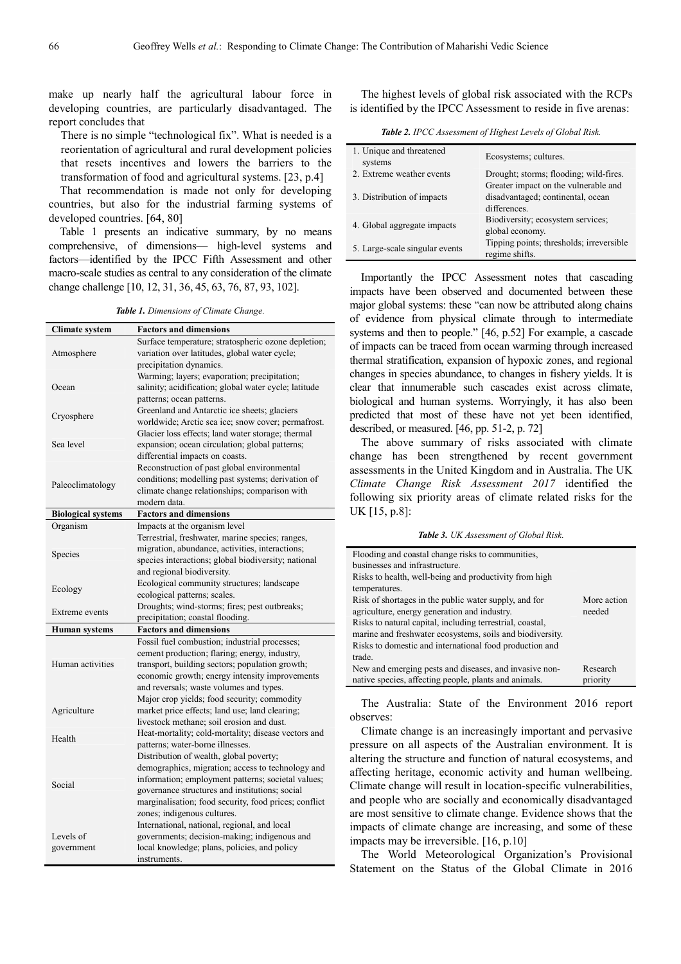make up nearly half the agricultural labour force in developing countries, are particularly disadvantaged. The report concludes that

There is no simple "technological fix". What is needed is a reorientation of agricultural and rural development policies that resets incentives and lowers the barriers to the transformation of food and agricultural systems. [23, p.4]

That recommendation is made not only for developing countries, but also for the industrial farming systems of developed countries. [64, 80]

Table 1 presents an indicative summary, by no means comprehensive, of dimensions— high-level systems and factors—identified by the IPCC Fifth Assessment and other macro-scale studies as central to any consideration of the climate change challenge [10, 12, 31, 36, 45, 63, 76, 87, 93, 102].

*Table 1. Dimensions of Climate Change.* 

| <b>Climate system</b>     | <b>Factors and dimensions</b>                         |
|---------------------------|-------------------------------------------------------|
|                           | Surface temperature; stratospheric ozone depletion;   |
| Atmosphere                | variation over latitudes, global water cycle;         |
|                           | precipitation dynamics.                               |
|                           | Warming; layers; evaporation; precipitation;          |
| Ocean                     | salinity; acidification; global water cycle; latitude |
|                           | patterns; ocean patterns.                             |
|                           | Greenland and Antarctic ice sheets; glaciers          |
| Cryosphere                | worldwide; Arctic sea ice; snow cover; permafrost.    |
|                           | Glacier loss effects; land water storage; thermal     |
| Sea level                 | expansion; ocean circulation; global patterns;        |
|                           | differential impacts on coasts.                       |
|                           |                                                       |
|                           | Reconstruction of past global environmental           |
| Paleoclimatology          | conditions; modelling past systems; derivation of     |
|                           | climate change relationships; comparison with         |
|                           | modern data.                                          |
| <b>Biological systems</b> | <b>Factors and dimensions</b>                         |
| Organism                  | Impacts at the organism level                         |
|                           | Terrestrial, freshwater, marine species; ranges,      |
|                           | migration, abundance, activities, interactions;       |
| Species                   | species interactions; global biodiversity; national   |
|                           | and regional biodiversity.                            |
|                           | Ecological community structures; landscape            |
| Ecology                   | ecological patterns; scales.                          |
|                           | Droughts; wind-storms; fires; pest outbreaks;         |
| Extreme events            | precipitation; coastal flooding.                      |
| Human systems             | <b>Factors and dimensions</b>                         |
|                           | Fossil fuel combustion; industrial processes;         |
|                           | cement production; flaring; energy, industry,         |
| Human activities          | transport, building sectors; population growth;       |
|                           | economic growth; energy intensity improvements        |
|                           |                                                       |
|                           | and reversals; waste volumes and types.               |
|                           | Major crop yields; food security; commodity           |
| Agriculture               | market price effects; land use; land clearing;        |
|                           | livestock methane; soil erosion and dust.             |
| Health                    | Heat-mortality; cold-mortality; disease vectors and   |
|                           | patterns; water-borne illnesses.                      |
|                           | Distribution of wealth, global poverty;               |
|                           | demographics, migration; access to technology and     |
| Social                    | information; employment patterns; societal values;    |
|                           | governance structures and institutions; social        |
|                           | marginalisation; food security, food prices; conflict |
|                           | zones; indigenous cultures.                           |
|                           | International, national, regional, and local          |
| Levels of                 | governments; decision-making; indigenous and          |
| government                | local knowledge; plans, policies, and policy          |
|                           | instruments.                                          |

The highest levels of global risk associated with the RCPs is identified by the IPCC Assessment to reside in five arenas:

*Table 2. IPCC Assessment of Highest Levels of Global Risk.* 

| 1. Unique and threatened<br>systems | Ecosystems; cultures.                                      |
|-------------------------------------|------------------------------------------------------------|
| 2. Extreme weather events           | Drought; storms; flooding; wild-fires.                     |
|                                     | Greater impact on the vulnerable and                       |
| 3. Distribution of impacts          | disadvantaged; continental, ocean                          |
|                                     | differences.                                               |
|                                     | Biodiversity; ecosystem services;                          |
| 4. Global aggregate impacts         | global economy.                                            |
| 5. Large-scale singular events      | Tipping points; thresholds; irreversible<br>regime shifts. |

Importantly the IPCC Assessment notes that cascading impacts have been observed and documented between these major global systems: these "can now be attributed along chains of evidence from physical climate through to intermediate systems and then to people." [46, p.52] For example, a cascade of impacts can be traced from ocean warming through increased thermal stratification, expansion of hypoxic zones, and regional changes in species abundance, to changes in fishery yields. It is clear that innumerable such cascades exist across climate, biological and human systems. Worryingly, it has also been predicted that most of these have not yet been identified, described, or measured. [46, pp. 51-2, p. 72]

The above summary of risks associated with climate change has been strengthened by recent government assessments in the United Kingdom and in Australia. The UK *Climate Change Risk Assessment 2017* identified the following six priority areas of climate related risks for the UK [15, p.8]:

*Table 3. UK Assessment of Global Risk.* 

| Flooding and coastal change risks to communities,         |             |  |
|-----------------------------------------------------------|-------------|--|
| businesses and infrastructure.                            |             |  |
| Risks to health, well-being and productivity from high    |             |  |
| temperatures.                                             |             |  |
| Risk of shortages in the public water supply, and for     | More action |  |
| agriculture, energy generation and industry.              | needed      |  |
| Risks to natural capital, including terrestrial, coastal, |             |  |
| marine and freshwater ecosystems, soils and biodiversity. |             |  |
| Risks to domestic and international food production and   |             |  |
| trade.                                                    |             |  |
| New and emerging pests and diseases, and invasive non-    | Research    |  |
| native species, affecting people, plants and animals.     | priority    |  |

The Australia: State of the Environment 2016 report observes:

Climate change is an increasingly important and pervasive pressure on all aspects of the Australian environment. It is altering the structure and function of natural ecosystems, and affecting heritage, economic activity and human wellbeing. Climate change will result in location-specific vulnerabilities, and people who are socially and economically disadvantaged are most sensitive to climate change. Evidence shows that the impacts of climate change are increasing, and some of these impacts may be irreversible. [16, p.10]

The World Meteorological Organization's Provisional Statement on the Status of the Global Climate in 2016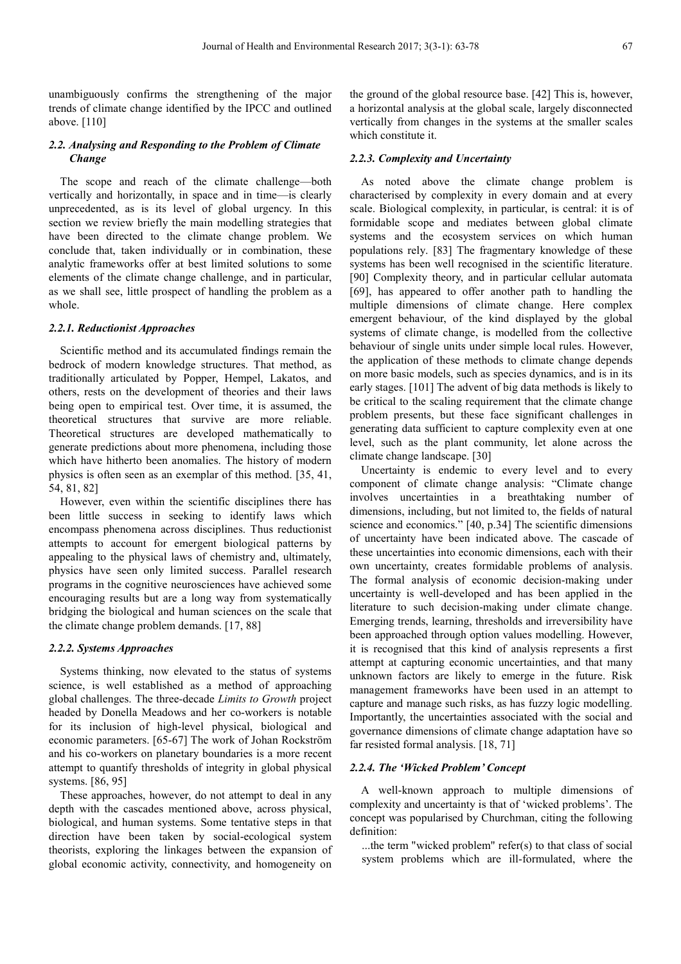unambiguously confirms the strengthening of the major trends of climate change identified by the IPCC and outlined above. [110]

### *2.2. Analysing and Responding to the Problem of Climate Change*

The scope and reach of the climate challenge—both vertically and horizontally, in space and in time—is clearly unprecedented, as is its level of global urgency. In this section we review briefly the main modelling strategies that have been directed to the climate change problem. We conclude that, taken individually or in combination, these analytic frameworks offer at best limited solutions to some elements of the climate change challenge, and in particular, as we shall see, little prospect of handling the problem as a whole.

#### *2.2.1. Reductionist Approaches*

Scientific method and its accumulated findings remain the bedrock of modern knowledge structures. That method, as traditionally articulated by Popper, Hempel, Lakatos, and others, rests on the development of theories and their laws being open to empirical test. Over time, it is assumed, the theoretical structures that survive are more reliable. Theoretical structures are developed mathematically to generate predictions about more phenomena, including those which have hitherto been anomalies. The history of modern physics is often seen as an exemplar of this method. [35, 41, 54, 81, 82]

However, even within the scientific disciplines there has been little success in seeking to identify laws which encompass phenomena across disciplines. Thus reductionist attempts to account for emergent biological patterns by appealing to the physical laws of chemistry and, ultimately, physics have seen only limited success. Parallel research programs in the cognitive neurosciences have achieved some encouraging results but are a long way from systematically bridging the biological and human sciences on the scale that the climate change problem demands. [17, 88]

#### *2.2.2. Systems Approaches*

Systems thinking, now elevated to the status of systems science, is well established as a method of approaching global challenges. The three-decade *Limits to Growth* project headed by Donella Meadows and her co-workers is notable for its inclusion of high-level physical, biological and economic parameters. [65-67] The work of Johan Rockström and his co-workers on planetary boundaries is a more recent attempt to quantify thresholds of integrity in global physical systems. [86, 95]

These approaches, however, do not attempt to deal in any depth with the cascades mentioned above, across physical, biological, and human systems. Some tentative steps in that direction have been taken by social-ecological system theorists, exploring the linkages between the expansion of global economic activity, connectivity, and homogeneity on

the ground of the global resource base. [42] This is, however, a horizontal analysis at the global scale, largely disconnected vertically from changes in the systems at the smaller scales which constitute it.

#### *2.2.3. Complexity and Uncertainty*

As noted above the climate change problem is characterised by complexity in every domain and at every scale. Biological complexity, in particular, is central: it is of formidable scope and mediates between global climate systems and the ecosystem services on which human populations rely. [83] The fragmentary knowledge of these systems has been well recognised in the scientific literature. [90] Complexity theory, and in particular cellular automata [69], has appeared to offer another path to handling the multiple dimensions of climate change. Here complex emergent behaviour, of the kind displayed by the global systems of climate change, is modelled from the collective behaviour of single units under simple local rules. However, the application of these methods to climate change depends on more basic models, such as species dynamics, and is in its early stages. [101] The advent of big data methods is likely to be critical to the scaling requirement that the climate change problem presents, but these face significant challenges in generating data sufficient to capture complexity even at one level, such as the plant community, let alone across the climate change landscape. [30]

Uncertainty is endemic to every level and to every component of climate change analysis: "Climate change involves uncertainties in a breathtaking number of dimensions, including, but not limited to, the fields of natural science and economics." [40, p.34] The scientific dimensions of uncertainty have been indicated above. The cascade of these uncertainties into economic dimensions, each with their own uncertainty, creates formidable problems of analysis. The formal analysis of economic decision-making under uncertainty is well-developed and has been applied in the literature to such decision-making under climate change. Emerging trends, learning, thresholds and irreversibility have been approached through option values modelling. However, it is recognised that this kind of analysis represents a first attempt at capturing economic uncertainties, and that many unknown factors are likely to emerge in the future. Risk management frameworks have been used in an attempt to capture and manage such risks, as has fuzzy logic modelling. Importantly, the uncertainties associated with the social and governance dimensions of climate change adaptation have so far resisted formal analysis. [18, 71]

#### *2.2.4. The 'Wicked Problem' Concept*

A well-known approach to multiple dimensions of complexity and uncertainty is that of 'wicked problems'. The concept was popularised by Churchman, citing the following definition:

...the term "wicked problem" refer(s) to that class of social system problems which are ill-formulated, where the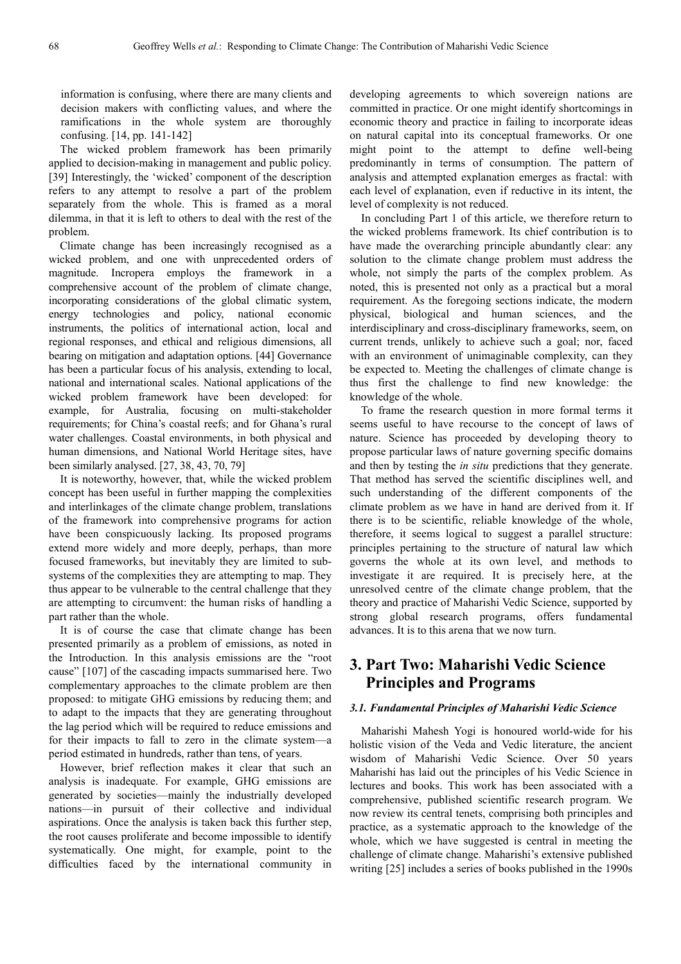information is confusing, where there are many clients and decision makers with conflicting values, and where the ramifications in the whole system are thoroughly confusing. [14, pp. 141-142]

The wicked problem framework has been primarily applied to decision-making in management and public policy. [39] Interestingly, the 'wicked' component of the description refers to any attempt to resolve a part of the problem separately from the whole. This is framed as a moral dilemma, in that it is left to others to deal with the rest of the problem.

Climate change has been increasingly recognised as a wicked problem, and one with unprecedented orders of magnitude. Incropera employs the framework in a comprehensive account of the problem of climate change, incorporating considerations of the global climatic system, energy technologies and policy, national economic instruments, the politics of international action, local and regional responses, and ethical and religious dimensions, all bearing on mitigation and adaptation options. [44] Governance has been a particular focus of his analysis, extending to local, national and international scales. National applications of the wicked problem framework have been developed: for example, for Australia, focusing on multi-stakeholder requirements; for China's coastal reefs; and for Ghana's rural water challenges. Coastal environments, in both physical and human dimensions, and National World Heritage sites, have been similarly analysed. [27, 38, 43, 70, 79]

It is noteworthy, however, that, while the wicked problem concept has been useful in further mapping the complexities and interlinkages of the climate change problem, translations of the framework into comprehensive programs for action have been conspicuously lacking. Its proposed programs extend more widely and more deeply, perhaps, than more focused frameworks, but inevitably they are limited to subsystems of the complexities they are attempting to map. They thus appear to be vulnerable to the central challenge that they are attempting to circumvent: the human risks of handling a part rather than the whole.

It is of course the case that climate change has been presented primarily as a problem of emissions, as noted in the Introduction. In this analysis emissions are the "root cause" [107] of the cascading impacts summarised here. Two complementary approaches to the climate problem are then proposed: to mitigate GHG emissions by reducing them; and to adapt to the impacts that they are generating throughout the lag period which will be required to reduce emissions and for their impacts to fall to zero in the climate system—a period estimated in hundreds, rather than tens, of years.

However, brief reflection makes it clear that such an analysis is inadequate. For example, GHG emissions are generated by societies—mainly the industrially developed nations—in pursuit of their collective and individual aspirations. Once the analysis is taken back this further step, the root causes proliferate and become impossible to identify systematically. One might, for example, point to the difficulties faced by the international community in

developing agreements to which sovereign nations are committed in practice. Or one might identify shortcomings in economic theory and practice in failing to incorporate ideas on natural capital into its conceptual frameworks. Or one might point to the attempt to define well-being predominantly in terms of consumption. The pattern of analysis and attempted explanation emerges as fractal: with each level of explanation, even if reductive in its intent, the level of complexity is not reduced.

In concluding Part 1 of this article, we therefore return to the wicked problems framework. Its chief contribution is to have made the overarching principle abundantly clear: any solution to the climate change problem must address the whole, not simply the parts of the complex problem. As noted, this is presented not only as a practical but a moral requirement. As the foregoing sections indicate, the modern physical, biological and human sciences, and the interdisciplinary and cross-disciplinary frameworks, seem, on current trends, unlikely to achieve such a goal; nor, faced with an environment of unimaginable complexity, can they be expected to. Meeting the challenges of climate change is thus first the challenge to find new knowledge: the knowledge of the whole.

To frame the research question in more formal terms it seems useful to have recourse to the concept of laws of nature. Science has proceeded by developing theory to propose particular laws of nature governing specific domains and then by testing the *in situ* predictions that they generate. That method has served the scientific disciplines well, and such understanding of the different components of the climate problem as we have in hand are derived from it. If there is to be scientific, reliable knowledge of the whole, therefore, it seems logical to suggest a parallel structure: principles pertaining to the structure of natural law which governs the whole at its own level, and methods to investigate it are required. It is precisely here, at the unresolved centre of the climate change problem, that the theory and practice of Maharishi Vedic Science, supported by strong global research programs, offers fundamental advances. It is to this arena that we now turn.

# **3. Part Two: Maharishi Vedic Science Principles and Programs**

### *3.1. Fundamental Principles of Maharishi Vedic Science*

Maharishi Mahesh Yogi is honoured world-wide for his holistic vision of the Veda and Vedic literature, the ancient wisdom of Maharishi Vedic Science. Over 50 years Maharishi has laid out the principles of his Vedic Science in lectures and books. This work has been associated with a comprehensive, published scientific research program. We now review its central tenets, comprising both principles and practice, as a systematic approach to the knowledge of the whole, which we have suggested is central in meeting the challenge of climate change. Maharishi's extensive published writing [25] includes a series of books published in the 1990s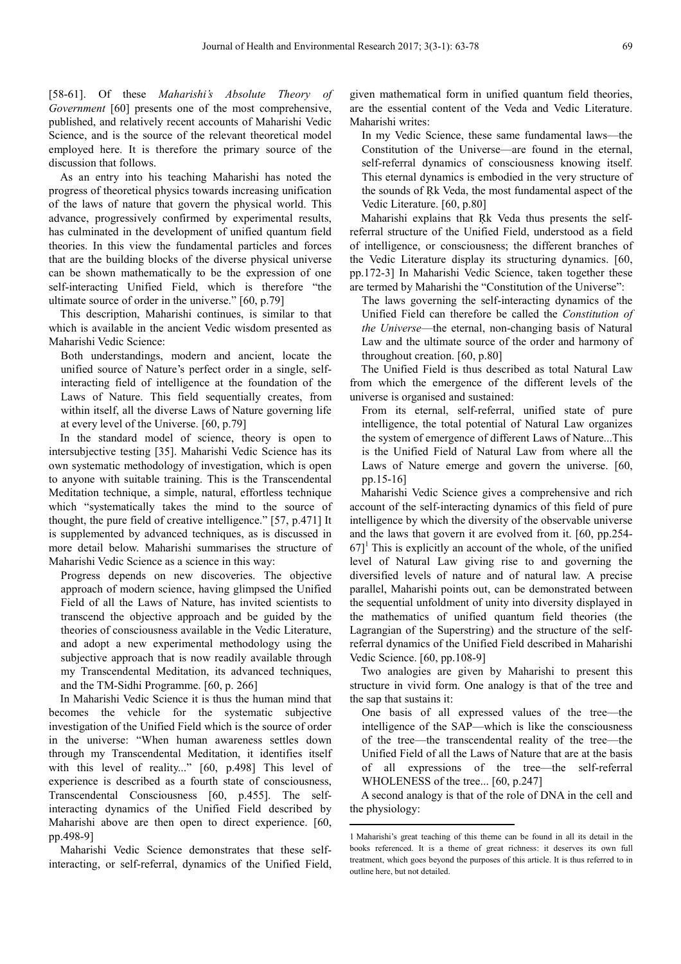[58-61]. Of these *Maharishi's Absolute Theory of Government* [60] presents one of the most comprehensive, published, and relatively recent accounts of Maharishi Vedic Science, and is the source of the relevant theoretical model employed here. It is therefore the primary source of the discussion that follows.

As an entry into his teaching Maharishi has noted the progress of theoretical physics towards increasing unification of the laws of nature that govern the physical world. This advance, progressively confirmed by experimental results, has culminated in the development of unified quantum field theories. In this view the fundamental particles and forces that are the building blocks of the diverse physical universe can be shown mathematically to be the expression of one self-interacting Unified Field, which is therefore "the ultimate source of order in the universe." [60, p.79]

This description, Maharishi continues, is similar to that which is available in the ancient Vedic wisdom presented as Maharishi Vedic Science:

Both understandings, modern and ancient, locate the unified source of Nature's perfect order in a single, selfinteracting field of intelligence at the foundation of the Laws of Nature. This field sequentially creates, from within itself, all the diverse Laws of Nature governing life at every level of the Universe. [60, p.79]

In the standard model of science, theory is open to intersubjective testing [35]. Maharishi Vedic Science has its own systematic methodology of investigation, which is open to anyone with suitable training. This is the Transcendental Meditation technique, a simple, natural, effortless technique which "systematically takes the mind to the source of thought, the pure field of creative intelligence." [57, p.471] It is supplemented by advanced techniques, as is discussed in more detail below. Maharishi summarises the structure of Maharishi Vedic Science as a science in this way:

Progress depends on new discoveries. The objective approach of modern science, having glimpsed the Unified Field of all the Laws of Nature, has invited scientists to transcend the objective approach and be guided by the theories of consciousness available in the Vedic Literature, and adopt a new experimental methodology using the subjective approach that is now readily available through my Transcendental Meditation, its advanced techniques, and the TM-Sidhi Programme. [60, p. 266]

In Maharishi Vedic Science it is thus the human mind that becomes the vehicle for the systematic subjective investigation of the Unified Field which is the source of order in the universe: "When human awareness settles down through my Transcendental Meditation, it identifies itself with this level of reality..." [60, p.498] This level of experience is described as a fourth state of consciousness, Transcendental Consciousness [60, p.455]. The selfinteracting dynamics of the Unified Field described by Maharishi above are then open to direct experience. [60, pp.498-9]

Maharishi Vedic Science demonstrates that these selfinteracting, or self-referral, dynamics of the Unified Field, given mathematical form in unified quantum field theories, are the essential content of the Veda and Vedic Literature. Maharishi writes:

In my Vedic Science, these same fundamental laws—the Constitution of the Universe—are found in the eternal, self-referral dynamics of consciousness knowing itself. This eternal dynamics is embodied in the very structure of the sounds of Rk Veda, the most fundamental aspect of the Vedic Literature. [60, p.80]

Maharishi explains that Rk Veda thus presents the selfreferral structure of the Unified Field, understood as a field of intelligence, or consciousness; the different branches of the Vedic Literature display its structuring dynamics. [60, pp.172-3] In Maharishi Vedic Science, taken together these are termed by Maharishi the "Constitution of the Universe":

The laws governing the self-interacting dynamics of the Unified Field can therefore be called the *Constitution of the Universe*—the eternal, non-changing basis of Natural Law and the ultimate source of the order and harmony of throughout creation. [60, p.80]

The Unified Field is thus described as total Natural Law from which the emergence of the different levels of the universe is organised and sustained:

From its eternal, self-referral, unified state of pure intelligence, the total potential of Natural Law organizes the system of emergence of different Laws of Nature...This is the Unified Field of Natural Law from where all the Laws of Nature emerge and govern the universe. [60, pp.15-16]

Maharishi Vedic Science gives a comprehensive and rich account of the self-interacting dynamics of this field of pure intelligence by which the diversity of the observable universe and the laws that govern it are evolved from it. [60, pp.254-  $67$ <sup>1</sup> This is explicitly an account of the whole, of the unified level of Natural Law giving rise to and governing the diversified levels of nature and of natural law. A precise parallel, Maharishi points out, can be demonstrated between the sequential unfoldment of unity into diversity displayed in the mathematics of unified quantum field theories (the Lagrangian of the Superstring) and the structure of the selfreferral dynamics of the Unified Field described in Maharishi Vedic Science. [60, pp.108-9]

Two analogies are given by Maharishi to present this structure in vivid form. One analogy is that of the tree and the sap that sustains it:

One basis of all expressed values of the tree—the intelligence of the SAP—which is like the consciousness of the tree—the transcendental reality of the tree—the Unified Field of all the Laws of Nature that are at the basis of all expressions of the tree—the self-referral WHOLENESS of the tree... [60, p.247]

A second analogy is that of the role of DNA in the cell and the physiology: 

<sup>1</sup> Maharishi's great teaching of this theme can be found in all its detail in the books referenced. It is a theme of great richness: it deserves its own full treatment, which goes beyond the purposes of this article. It is thus referred to in outline here, but not detailed.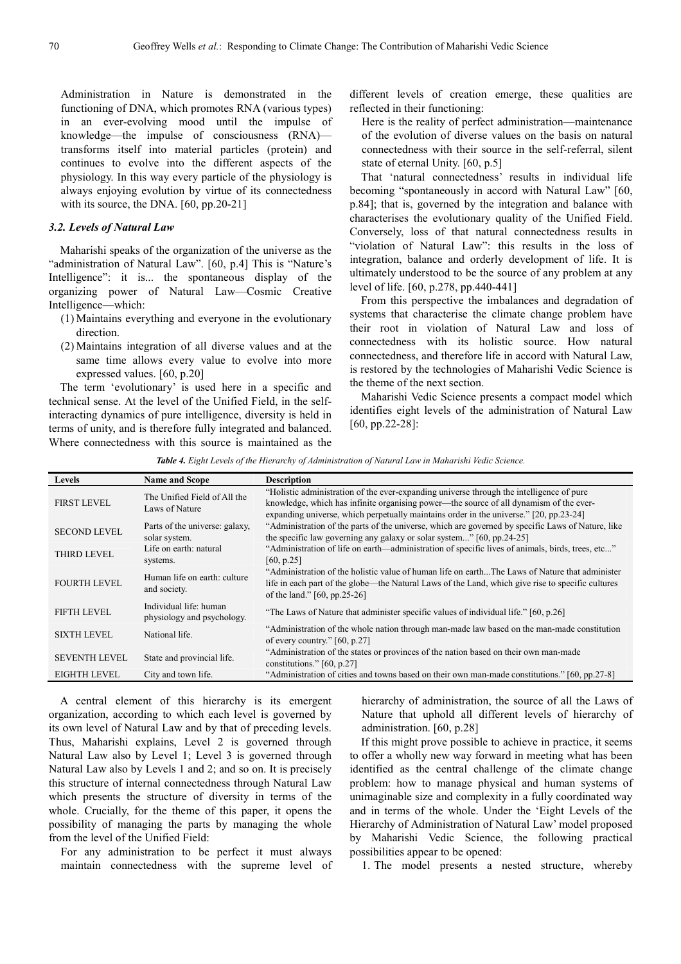Administration in Nature is demonstrated in the functioning of DNA, which promotes RNA (various types) in an ever-evolving mood until the impulse of knowledge—the impulse of consciousness (RNA) transforms itself into material particles (protein) and continues to evolve into the different aspects of the physiology. In this way every particle of the physiology is always enjoying evolution by virtue of its connectedness with its source, the DNA. [60, pp.20-21]

#### *3.2. Levels of Natural Law*

Maharishi speaks of the organization of the universe as the "administration of Natural Law". [60, p.4] This is "Nature's Intelligence": it is... the spontaneous display of the organizing power of Natural Law—Cosmic Creative Intelligence—which:

- (1) Maintains everything and everyone in the evolutionary direction.
- (2) Maintains integration of all diverse values and at the same time allows every value to evolve into more expressed values. [60, p.20]

The term 'evolutionary' is used here in a specific and technical sense. At the level of the Unified Field, in the selfinteracting dynamics of pure intelligence, diversity is held in terms of unity, and is therefore fully integrated and balanced. Where connectedness with this source is maintained as the

different levels of creation emerge, these qualities are reflected in their functioning:

Here is the reality of perfect administration—maintenance of the evolution of diverse values on the basis on natural connectedness with their source in the self-referral, silent state of eternal Unity. [60, p.5]

That 'natural connectedness' results in individual life becoming "spontaneously in accord with Natural Law" [60, p.84]; that is, governed by the integration and balance with characterises the evolutionary quality of the Unified Field. Conversely, loss of that natural connectedness results in "violation of Natural Law": this results in the loss of integration, balance and orderly development of life. It is ultimately understood to be the source of any problem at any level of life. [60, p.278, pp.440-441]

From this perspective the imbalances and degradation of systems that characterise the climate change problem have their root in violation of Natural Law and loss of connectedness with its holistic source. How natural connectedness, and therefore life in accord with Natural Law, is restored by the technologies of Maharishi Vedic Science is the theme of the next section.

Maharishi Vedic Science presents a compact model which identifies eight levels of the administration of Natural Law [60, pp.22-28]:

*Table 4. Eight Levels of the Hierarchy of Administration of Natural Law in Maharishi Vedic Science.* 

| <b>Levels</b>        | <b>Name and Scope</b>                                | <b>Description</b>                                                                                                                                                                                                                                                           |
|----------------------|------------------------------------------------------|------------------------------------------------------------------------------------------------------------------------------------------------------------------------------------------------------------------------------------------------------------------------------|
| <b>FIRST LEVEL</b>   | The Unified Field of All the<br>Laws of Nature       | "Holistic administration of the ever-expanding universe through the intelligence of pure<br>knowledge, which has infinite organising power—the source of all dynamism of the ever-<br>expanding universe, which perpetually maintains order in the universe." [20, pp.23-24] |
| <b>SECOND LEVEL</b>  | Parts of the universe: galaxy,<br>solar system.      | "Administration of the parts of the universe, which are governed by specific Laws of Nature, like<br>the specific law governing any galaxy or solar system" [60, pp.24-25]                                                                                                   |
| <b>THIRD LEVEL</b>   | Life on earth: natural<br>systems.                   | "Administration of life on earth—administration of specific lives of animals, birds, trees, etc"<br>[60, p.25]                                                                                                                                                               |
| <b>FOURTH LEVEL</b>  | Human life on earth: culture<br>and society.         | "Administration of the holistic value of human life on earthThe Laws of Nature that administer<br>life in each part of the globe—the Natural Laws of the Land, which give rise to specific cultures<br>of the land." [60, pp.25-26]                                          |
| <b>FIFTH LEVEL</b>   | Individual life: human<br>physiology and psychology. | "The Laws of Nature that administer specific values of individual life." [60, p.26]                                                                                                                                                                                          |
| <b>SIXTH LEVEL</b>   | National life.                                       | "Administration of the whole nation through man-made law based on the man-made constitution<br>of every country." $[60, p.27]$                                                                                                                                               |
| <b>SEVENTH LEVEL</b> | State and provincial life.                           | "Administration of the states or provinces of the nation based on their own man-made<br>constitutions." $[60, p.27]$                                                                                                                                                         |
| <b>EIGHTH LEVEL</b>  | City and town life.                                  | "Administration of cities and towns based on their own man-made constitutions." [60, pp.27-8]                                                                                                                                                                                |

A central element of this hierarchy is its emergent organization, according to which each level is governed by its own level of Natural Law and by that of preceding levels. Thus, Maharishi explains, Level 2 is governed through Natural Law also by Level 1; Level 3 is governed through Natural Law also by Levels 1 and 2; and so on. It is precisely this structure of internal connectedness through Natural Law which presents the structure of diversity in terms of the whole. Crucially, for the theme of this paper, it opens the possibility of managing the parts by managing the whole from the level of the Unified Field:

For any administration to be perfect it must always maintain connectedness with the supreme level of hierarchy of administration, the source of all the Laws of Nature that uphold all different levels of hierarchy of administration. [60, p.28]

If this might prove possible to achieve in practice, it seems to offer a wholly new way forward in meeting what has been identified as the central challenge of the climate change problem: how to manage physical and human systems of unimaginable size and complexity in a fully coordinated way and in terms of the whole. Under the 'Eight Levels of the Hierarchy of Administration of Natural Law' model proposed by Maharishi Vedic Science, the following practical possibilities appear to be opened:

1. The model presents a nested structure, whereby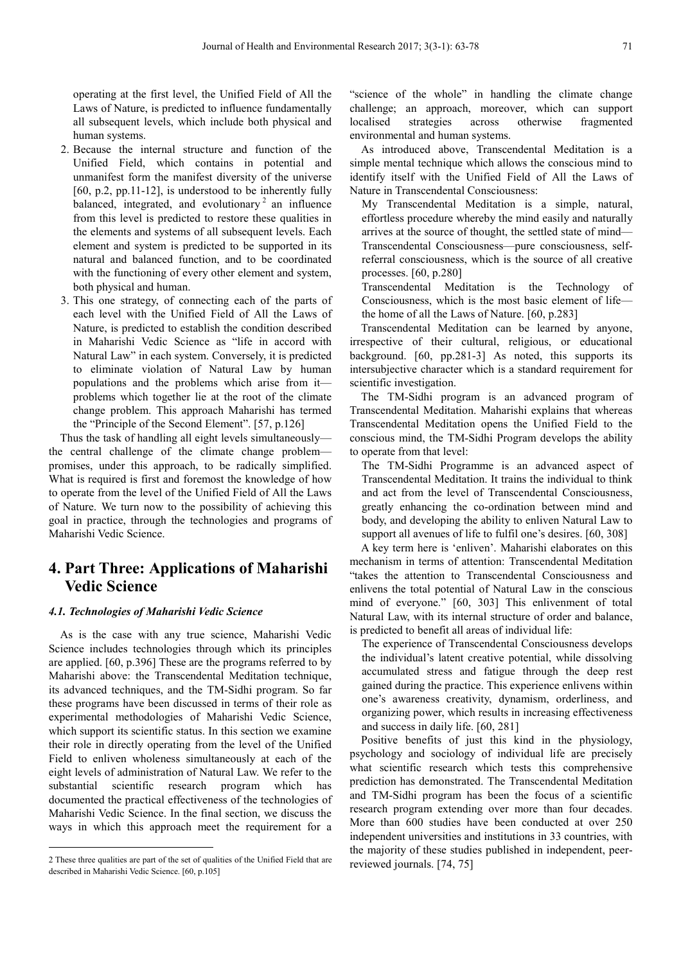operating at the first level, the Unified Field of All the Laws of Nature, is predicted to influence fundamentally all subsequent levels, which include both physical and human systems.

- 2. Because the internal structure and function of the Unified Field, which contains in potential and unmanifest form the manifest diversity of the universe [60, p.2, pp.11-12], is understood to be inherently fully balanced, integrated, and evolutionary<sup>2</sup> an influence from this level is predicted to restore these qualities in the elements and systems of all subsequent levels. Each element and system is predicted to be supported in its natural and balanced function, and to be coordinated with the functioning of every other element and system. both physical and human.
- 3. This one strategy, of connecting each of the parts of each level with the Unified Field of All the Laws of Nature, is predicted to establish the condition described in Maharishi Vedic Science as "life in accord with Natural Law" in each system. Conversely, it is predicted to eliminate violation of Natural Law by human populations and the problems which arise from it problems which together lie at the root of the climate change problem. This approach Maharishi has termed the "Principle of the Second Element". [57, p.126]

Thus the task of handling all eight levels simultaneously the central challenge of the climate change problem promises, under this approach, to be radically simplified. What is required is first and foremost the knowledge of how to operate from the level of the Unified Field of All the Laws of Nature. We turn now to the possibility of achieving this goal in practice, through the technologies and programs of Maharishi Vedic Science.

# **4. Part Three: Applications of Maharishi Vedic Science**

#### *4.1. Technologies of Maharishi Vedic Science*

As is the case with any true science, Maharishi Vedic Science includes technologies through which its principles are applied. [60, p.396] These are the programs referred to by Maharishi above: the Transcendental Meditation technique, its advanced techniques, and the TM-Sidhi program. So far these programs have been discussed in terms of their role as experimental methodologies of Maharishi Vedic Science, which support its scientific status. In this section we examine their role in directly operating from the level of the Unified Field to enliven wholeness simultaneously at each of the eight levels of administration of Natural Law. We refer to the substantial scientific research program which has documented the practical effectiveness of the technologies of Maharishi Vedic Science. In the final section, we discuss the ways in which this approach meet the requirement for a

 $\overline{a}$ 

"science of the whole" in handling the climate change challenge; an approach, moreover, which can support localised strategies across otherwise fragmented environmental and human systems.

As introduced above, Transcendental Meditation is a simple mental technique which allows the conscious mind to identify itself with the Unified Field of All the Laws of Nature in Transcendental Consciousness:

My Transcendental Meditation is a simple, natural, effortless procedure whereby the mind easily and naturally arrives at the source of thought, the settled state of mind— Transcendental Consciousness—pure consciousness, selfreferral consciousness, which is the source of all creative processes. [60, p.280]

Transcendental Meditation is the Technology of Consciousness, which is the most basic element of life the home of all the Laws of Nature. [60, p.283]

Transcendental Meditation can be learned by anyone, irrespective of their cultural, religious, or educational background. [60, pp.281-3] As noted, this supports its intersubjective character which is a standard requirement for scientific investigation.

The TM-Sidhi program is an advanced program of Transcendental Meditation. Maharishi explains that whereas Transcendental Meditation opens the Unified Field to the conscious mind, the TM-Sidhi Program develops the ability to operate from that level:

The TM-Sidhi Programme is an advanced aspect of Transcendental Meditation. It trains the individual to think and act from the level of Transcendental Consciousness, greatly enhancing the co-ordination between mind and body, and developing the ability to enliven Natural Law to support all avenues of life to fulfil one's desires. [60, 308]

A key term here is 'enliven'. Maharishi elaborates on this mechanism in terms of attention: Transcendental Meditation "takes the attention to Transcendental Consciousness and enlivens the total potential of Natural Law in the conscious mind of everyone." [60, 303] This enlivenment of total Natural Law, with its internal structure of order and balance, is predicted to benefit all areas of individual life:

The experience of Transcendental Consciousness develops the individual's latent creative potential, while dissolving accumulated stress and fatigue through the deep rest gained during the practice. This experience enlivens within one's awareness creativity, dynamism, orderliness, and organizing power, which results in increasing effectiveness and success in daily life. [60, 281]

Positive benefits of just this kind in the physiology, psychology and sociology of individual life are precisely what scientific research which tests this comprehensive prediction has demonstrated. The Transcendental Meditation and TM-Sidhi program has been the focus of a scientific research program extending over more than four decades. More than 600 studies have been conducted at over 250 independent universities and institutions in 33 countries, with the majority of these studies published in independent, peerreviewed journals. [74, 75]

<sup>2</sup> These three qualities are part of the set of qualities of the Unified Field that are described in Maharishi Vedic Science. [60, p.105]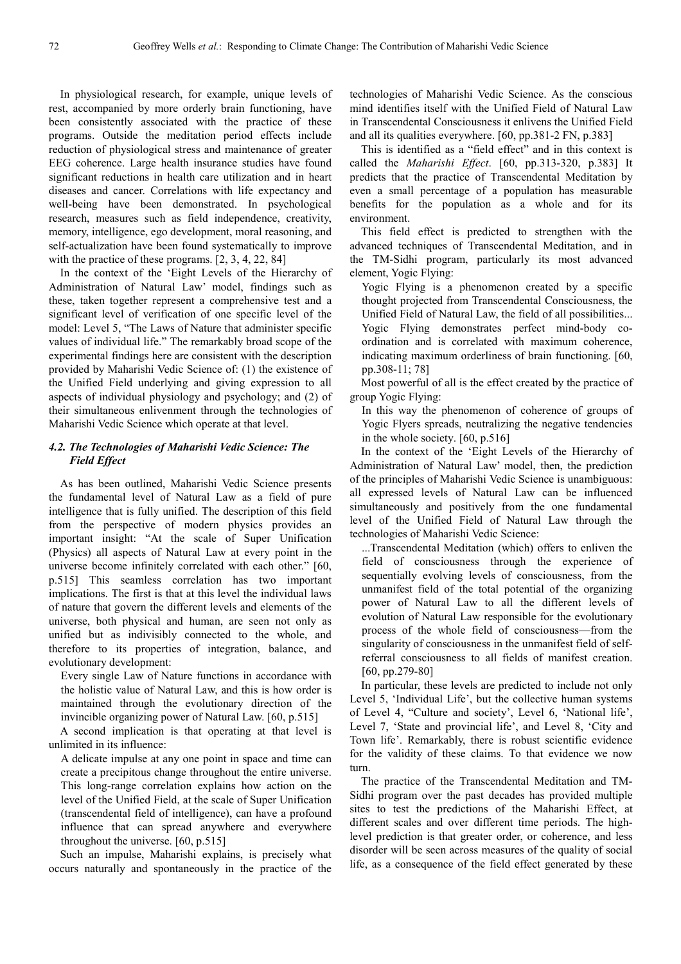In physiological research, for example, unique levels of rest, accompanied by more orderly brain functioning, have been consistently associated with the practice of these programs. Outside the meditation period effects include reduction of physiological stress and maintenance of greater EEG coherence. Large health insurance studies have found significant reductions in health care utilization and in heart diseases and cancer. Correlations with life expectancy and well-being have been demonstrated. In psychological research, measures such as field independence, creativity, memory, intelligence, ego development, moral reasoning, and self-actualization have been found systematically to improve with the practice of these programs. [2, 3, 4, 22, 84]

In the context of the 'Eight Levels of the Hierarchy of Administration of Natural Law' model, findings such as these, taken together represent a comprehensive test and a significant level of verification of one specific level of the model: Level 5, "The Laws of Nature that administer specific values of individual life." The remarkably broad scope of the experimental findings here are consistent with the description provided by Maharishi Vedic Science of: (1) the existence of the Unified Field underlying and giving expression to all aspects of individual physiology and psychology; and (2) of their simultaneous enlivenment through the technologies of Maharishi Vedic Science which operate at that level.

### *4.2. The Technologies of Maharishi Vedic Science: The Field Effect*

As has been outlined, Maharishi Vedic Science presents the fundamental level of Natural Law as a field of pure intelligence that is fully unified. The description of this field from the perspective of modern physics provides an important insight: "At the scale of Super Unification (Physics) all aspects of Natural Law at every point in the universe become infinitely correlated with each other." [60, p.515] This seamless correlation has two important implications. The first is that at this level the individual laws of nature that govern the different levels and elements of the universe, both physical and human, are seen not only as unified but as indivisibly connected to the whole, and therefore to its properties of integration, balance, and evolutionary development:

Every single Law of Nature functions in accordance with the holistic value of Natural Law, and this is how order is maintained through the evolutionary direction of the invincible organizing power of Natural Law. [60, p.515]

A second implication is that operating at that level is unlimited in its influence:

A delicate impulse at any one point in space and time can create a precipitous change throughout the entire universe. This long-range correlation explains how action on the level of the Unified Field, at the scale of Super Unification (transcendental field of intelligence), can have a profound influence that can spread anywhere and everywhere throughout the universe. [60, p.515]

Such an impulse, Maharishi explains, is precisely what occurs naturally and spontaneously in the practice of the

technologies of Maharishi Vedic Science. As the conscious mind identifies itself with the Unified Field of Natural Law in Transcendental Consciousness it enlivens the Unified Field and all its qualities everywhere. [60, pp.381-2 FN, p.383]

This is identified as a "field effect" and in this context is called the *Maharishi Effect*. [60, pp.313-320, p.383] It predicts that the practice of Transcendental Meditation by even a small percentage of a population has measurable benefits for the population as a whole and for its environment.

This field effect is predicted to strengthen with the advanced techniques of Transcendental Meditation, and in the TM-Sidhi program, particularly its most advanced element, Yogic Flying:

Yogic Flying is a phenomenon created by a specific thought projected from Transcendental Consciousness, the Unified Field of Natural Law, the field of all possibilities... Yogic Flying demonstrates perfect mind-body coordination and is correlated with maximum coherence, indicating maximum orderliness of brain functioning. [60, pp.308-11; 78]

Most powerful of all is the effect created by the practice of group Yogic Flying:

In this way the phenomenon of coherence of groups of Yogic Flyers spreads, neutralizing the negative tendencies in the whole society. [60, p.516]

In the context of the 'Eight Levels of the Hierarchy of Administration of Natural Law' model, then, the prediction of the principles of Maharishi Vedic Science is unambiguous: all expressed levels of Natural Law can be influenced simultaneously and positively from the one fundamental level of the Unified Field of Natural Law through the technologies of Maharishi Vedic Science:

...Transcendental Meditation (which) offers to enliven the field of consciousness through the experience of sequentially evolving levels of consciousness, from the unmanifest field of the total potential of the organizing power of Natural Law to all the different levels of evolution of Natural Law responsible for the evolutionary process of the whole field of consciousness—from the singularity of consciousness in the unmanifest field of selfreferral consciousness to all fields of manifest creation. [60, pp.279-80]

In particular, these levels are predicted to include not only Level 5, 'Individual Life', but the collective human systems of Level 4, "Culture and society', Level 6, 'National life', Level 7, 'State and provincial life', and Level 8, 'City and Town life'. Remarkably, there is robust scientific evidence for the validity of these claims. To that evidence we now turn.

The practice of the Transcendental Meditation and TM-Sidhi program over the past decades has provided multiple sites to test the predictions of the Maharishi Effect, at different scales and over different time periods. The highlevel prediction is that greater order, or coherence, and less disorder will be seen across measures of the quality of social life, as a consequence of the field effect generated by these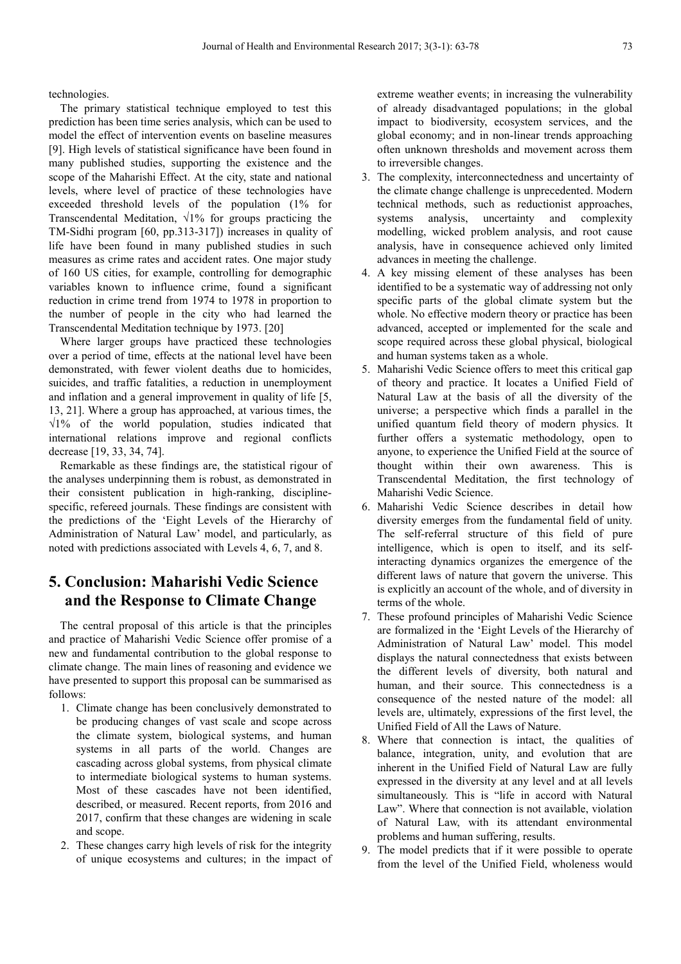technologies.

The primary statistical technique employed to test this prediction has been time series analysis, which can be used to model the effect of intervention events on baseline measures [9]. High levels of statistical significance have been found in many published studies, supporting the existence and the scope of the Maharishi Effect. At the city, state and national levels, where level of practice of these technologies have exceeded threshold levels of the population (1% for Transcendental Meditation,  $\sqrt{1\%}$  for groups practicing the TM-Sidhi program [60, pp.313-317]) increases in quality of life have been found in many published studies in such measures as crime rates and accident rates. One major study of 160 US cities, for example, controlling for demographic variables known to influence crime, found a significant reduction in crime trend from 1974 to 1978 in proportion to the number of people in the city who had learned the Transcendental Meditation technique by 1973. [20]

Where larger groups have practiced these technologies over a period of time, effects at the national level have been demonstrated, with fewer violent deaths due to homicides, suicides, and traffic fatalities, a reduction in unemployment and inflation and a general improvement in quality of life [5, 13, 21]. Where a group has approached, at various times, the  $\sqrt{1\%}$  of the world population, studies indicated that international relations improve and regional conflicts decrease [19, 33, 34, 74].

Remarkable as these findings are, the statistical rigour of the analyses underpinning them is robust, as demonstrated in their consistent publication in high-ranking, disciplinespecific, refereed journals. These findings are consistent with the predictions of the 'Eight Levels of the Hierarchy of Administration of Natural Law' model, and particularly, as noted with predictions associated with Levels 4, 6, 7, and 8.

# **5. Conclusion: Maharishi Vedic Science and the Response to Climate Change**

The central proposal of this article is that the principles and practice of Maharishi Vedic Science offer promise of a new and fundamental contribution to the global response to climate change. The main lines of reasoning and evidence we have presented to support this proposal can be summarised as follows:

- 1. Climate change has been conclusively demonstrated to be producing changes of vast scale and scope across the climate system, biological systems, and human systems in all parts of the world. Changes are cascading across global systems, from physical climate to intermediate biological systems to human systems. Most of these cascades have not been identified, described, or measured. Recent reports, from 2016 and 2017, confirm that these changes are widening in scale and scope.
- 2. These changes carry high levels of risk for the integrity of unique ecosystems and cultures; in the impact of

extreme weather events; in increasing the vulnerability of already disadvantaged populations; in the global impact to biodiversity, ecosystem services, and the global economy; and in non-linear trends approaching often unknown thresholds and movement across them to irreversible changes.

- 3. The complexity, interconnectedness and uncertainty of the climate change challenge is unprecedented. Modern technical methods, such as reductionist approaches, systems analysis, uncertainty and complexity modelling, wicked problem analysis, and root cause analysis, have in consequence achieved only limited advances in meeting the challenge.
- 4. A key missing element of these analyses has been identified to be a systematic way of addressing not only specific parts of the global climate system but the whole. No effective modern theory or practice has been advanced, accepted or implemented for the scale and scope required across these global physical, biological and human systems taken as a whole.
- 5. Maharishi Vedic Science offers to meet this critical gap of theory and practice. It locates a Unified Field of Natural Law at the basis of all the diversity of the universe; a perspective which finds a parallel in the unified quantum field theory of modern physics. It further offers a systematic methodology, open to anyone, to experience the Unified Field at the source of thought within their own awareness. This is Transcendental Meditation, the first technology of Maharishi Vedic Science.
- 6. Maharishi Vedic Science describes in detail how diversity emerges from the fundamental field of unity. The self-referral structure of this field of pure intelligence, which is open to itself, and its selfinteracting dynamics organizes the emergence of the different laws of nature that govern the universe. This is explicitly an account of the whole, and of diversity in terms of the whole.
- 7. These profound principles of Maharishi Vedic Science are formalized in the 'Eight Levels of the Hierarchy of Administration of Natural Law' model. This model displays the natural connectedness that exists between the different levels of diversity, both natural and human, and their source. This connectedness is a consequence of the nested nature of the model: all levels are, ultimately, expressions of the first level, the Unified Field of All the Laws of Nature.
- 8. Where that connection is intact, the qualities of balance, integration, unity, and evolution that are inherent in the Unified Field of Natural Law are fully expressed in the diversity at any level and at all levels simultaneously. This is "life in accord with Natural Law". Where that connection is not available, violation of Natural Law, with its attendant environmental problems and human suffering, results.
- 9. The model predicts that if it were possible to operate from the level of the Unified Field, wholeness would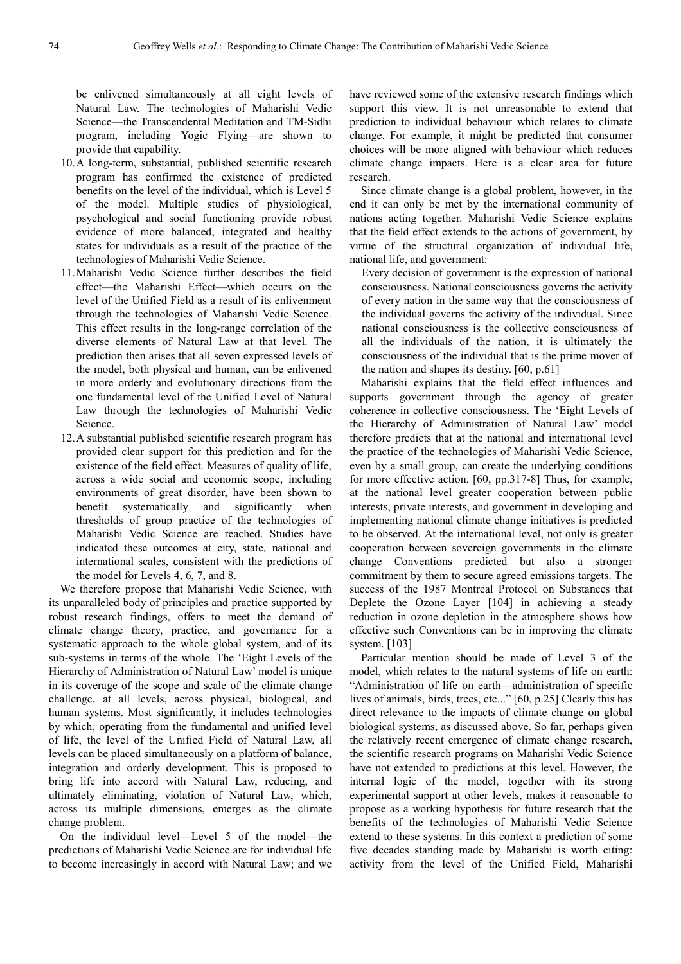be enlivened simultaneously at all eight levels of Natural Law. The technologies of Maharishi Vedic Science—the Transcendental Meditation and TM-Sidhi program, including Yogic Flying—are shown to provide that capability.

- 10.A long-term, substantial, published scientific research program has confirmed the existence of predicted benefits on the level of the individual, which is Level 5 of the model. Multiple studies of physiological, psychological and social functioning provide robust evidence of more balanced, integrated and healthy states for individuals as a result of the practice of the technologies of Maharishi Vedic Science.
- 11.Maharishi Vedic Science further describes the field effect—the Maharishi Effect—which occurs on the level of the Unified Field as a result of its enlivenment through the technologies of Maharishi Vedic Science. This effect results in the long-range correlation of the diverse elements of Natural Law at that level. The prediction then arises that all seven expressed levels of the model, both physical and human, can be enlivened in more orderly and evolutionary directions from the one fundamental level of the Unified Level of Natural Law through the technologies of Maharishi Vedic Science.
- 12.A substantial published scientific research program has provided clear support for this prediction and for the existence of the field effect. Measures of quality of life, across a wide social and economic scope, including environments of great disorder, have been shown to benefit systematically and significantly when thresholds of group practice of the technologies of Maharishi Vedic Science are reached. Studies have indicated these outcomes at city, state, national and international scales, consistent with the predictions of the model for Levels 4, 6, 7, and 8.

We therefore propose that Maharishi Vedic Science, with its unparalleled body of principles and practice supported by robust research findings, offers to meet the demand of climate change theory, practice, and governance for a systematic approach to the whole global system, and of its sub-systems in terms of the whole. The 'Eight Levels of the Hierarchy of Administration of Natural Law' model is unique in its coverage of the scope and scale of the climate change challenge, at all levels, across physical, biological, and human systems. Most significantly, it includes technologies by which, operating from the fundamental and unified level of life, the level of the Unified Field of Natural Law, all levels can be placed simultaneously on a platform of balance, integration and orderly development. This is proposed to bring life into accord with Natural Law, reducing, and ultimately eliminating, violation of Natural Law, which, across its multiple dimensions, emerges as the climate change problem.

On the individual level—Level 5 of the model—the predictions of Maharishi Vedic Science are for individual life to become increasingly in accord with Natural Law; and we

have reviewed some of the extensive research findings which support this view. It is not unreasonable to extend that prediction to individual behaviour which relates to climate change. For example, it might be predicted that consumer choices will be more aligned with behaviour which reduces climate change impacts. Here is a clear area for future research.

Since climate change is a global problem, however, in the end it can only be met by the international community of nations acting together. Maharishi Vedic Science explains that the field effect extends to the actions of government, by virtue of the structural organization of individual life, national life, and government:

Every decision of government is the expression of national consciousness. National consciousness governs the activity of every nation in the same way that the consciousness of the individual governs the activity of the individual. Since national consciousness is the collective consciousness of all the individuals of the nation, it is ultimately the consciousness of the individual that is the prime mover of the nation and shapes its destiny. [60, p.61]

Maharishi explains that the field effect influences and supports government through the agency of greater coherence in collective consciousness. The 'Eight Levels of the Hierarchy of Administration of Natural Law' model therefore predicts that at the national and international level the practice of the technologies of Maharishi Vedic Science, even by a small group, can create the underlying conditions for more effective action. [60, pp.317-8] Thus, for example, at the national level greater cooperation between public interests, private interests, and government in developing and implementing national climate change initiatives is predicted to be observed. At the international level, not only is greater cooperation between sovereign governments in the climate change Conventions predicted but also a stronger commitment by them to secure agreed emissions targets. The success of the 1987 Montreal Protocol on Substances that Deplete the Ozone Layer [104] in achieving a steady reduction in ozone depletion in the atmosphere shows how effective such Conventions can be in improving the climate system. [103]

Particular mention should be made of Level 3 of the model, which relates to the natural systems of life on earth: "Administration of life on earth—administration of specific lives of animals, birds, trees, etc..." [60, p.25] Clearly this has direct relevance to the impacts of climate change on global biological systems, as discussed above. So far, perhaps given the relatively recent emergence of climate change research, the scientific research programs on Maharishi Vedic Science have not extended to predictions at this level. However, the internal logic of the model, together with its strong experimental support at other levels, makes it reasonable to propose as a working hypothesis for future research that the benefits of the technologies of Maharishi Vedic Science extend to these systems. In this context a prediction of some five decades standing made by Maharishi is worth citing: activity from the level of the Unified Field, Maharishi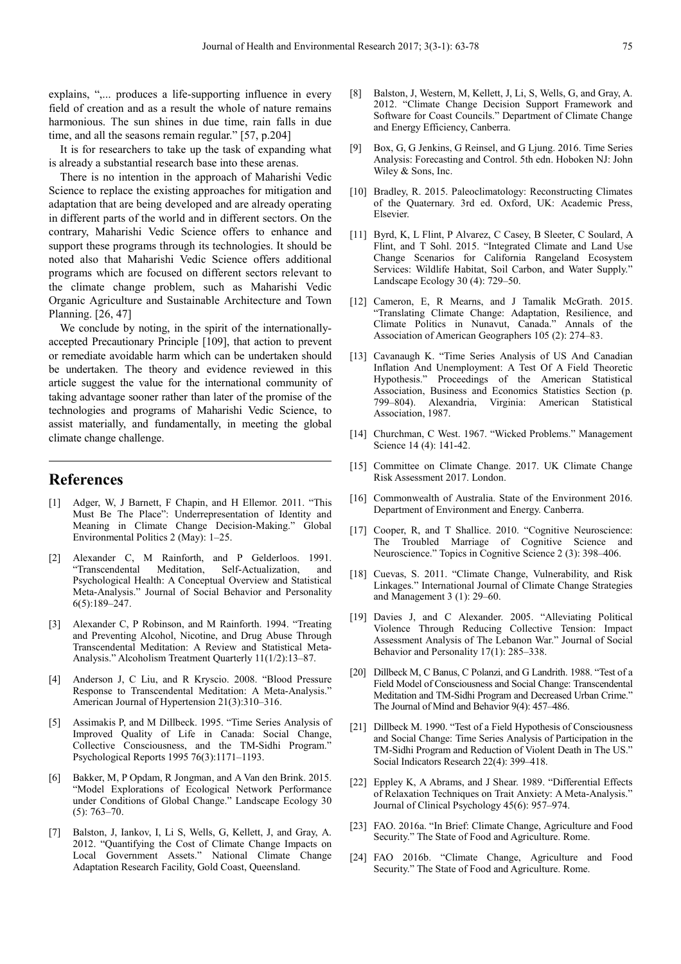explains, ",... produces a life-supporting influence in every field of creation and as a result the whole of nature remains harmonious. The sun shines in due time, rain falls in due time, and all the seasons remain regular." [57, p.204]

It is for researchers to take up the task of expanding what is already a substantial research base into these arenas.

There is no intention in the approach of Maharishi Vedic Science to replace the existing approaches for mitigation and adaptation that are being developed and are already operating in different parts of the world and in different sectors. On the contrary, Maharishi Vedic Science offers to enhance and support these programs through its technologies. It should be noted also that Maharishi Vedic Science offers additional programs which are focused on different sectors relevant to the climate change problem, such as Maharishi Vedic Organic Agriculture and Sustainable Architecture and Town Planning. [26, 47]

We conclude by noting, in the spirit of the internationallyaccepted Precautionary Principle [109], that action to prevent or remediate avoidable harm which can be undertaken should be undertaken. The theory and evidence reviewed in this article suggest the value for the international community of taking advantage sooner rather than later of the promise of the technologies and programs of Maharishi Vedic Science, to assist materially, and fundamentally, in meeting the global climate change challenge.

### **References**

- [1] Adger, W, J Barnett, F Chapin, and H Ellemor. 2011. "This Must Be The Place": Underrepresentation of Identity and Meaning in Climate Change Decision-Making." Global Environmental Politics 2 (May): 1–25.
- [2] Alexander C, M Rainforth, and P Gelderloos. 1991. Self-Actualization, and Psychological Health: A Conceptual Overview and Statistical Meta-Analysis." Journal of Social Behavior and Personality 6(5):189–247.
- [3] Alexander C, P Robinson, and M Rainforth. 1994. "Treating and Preventing Alcohol, Nicotine, and Drug Abuse Through Transcendental Meditation: A Review and Statistical Meta-Analysis." Alcoholism Treatment Quarterly 11(1/2):13–87.
- [4] Anderson J, C Liu, and R Kryscio. 2008. "Blood Pressure Response to Transcendental Meditation: A Meta-Analysis." American Journal of Hypertension 21(3):310–316.
- [5] Assimakis P, and M Dillbeck. 1995. "Time Series Analysis of Improved Quality of Life in Canada: Social Change, Collective Consciousness, and the TM-Sidhi Program." Psychological Reports 1995 76(3):1171–1193.
- [6] Bakker, M, P Opdam, R Jongman, and A Van den Brink. 2015. "Model Explorations of Ecological Network Performance under Conditions of Global Change." Landscape Ecology 30 (5): 763–70.
- [7] Balston, J, Iankov, I, Li S, Wells, G, Kellett, J, and Gray, A. 2012. "Quantifying the Cost of Climate Change Impacts on Local Government Assets." National Climate Change Adaptation Research Facility, Gold Coast, Queensland.
- Balston, J, Western, M, Kellett, J, Li, S, Wells, G, and Gray, A. 2012. "Climate Change Decision Support Framework and Software for Coast Councils." Department of Climate Change and Energy Efficiency, Canberra.
- [9] Box, G, G Jenkins, G Reinsel, and G Ljung. 2016. Time Series Analysis: Forecasting and Control. 5th edn. Hoboken NJ: John Wiley & Sons, Inc.
- [10] Bradley, R. 2015. Paleoclimatology: Reconstructing Climates of the Quaternary. 3rd ed. Oxford, UK: Academic Press, Elsevier.
- [11] Byrd, K, L Flint, P Alvarez, C Casey, B Sleeter, C Soulard, A Flint, and T Sohl. 2015. "Integrated Climate and Land Use Change Scenarios for California Rangeland Ecosystem Services: Wildlife Habitat, Soil Carbon, and Water Supply." Landscape Ecology 30 (4): 729–50.
- [12] Cameron, E, R Mearns, and J Tamalik McGrath. 2015. "Translating Climate Change: Adaptation, Resilience, and Climate Politics in Nunavut, Canada." Annals of the Association of American Geographers 105 (2): 274–83.
- [13] Cavanaugh K. "Time Series Analysis of US And Canadian Inflation And Unemployment: A Test Of A Field Theoretic Hypothesis." Proceedings of the American Statistical Association, Business and Economics Statistics Section (p. 799–804). Alexandria, Virginia: American Statistical Association, 1987.
- [14] Churchman, C West. 1967. "Wicked Problems." Management Science 14 (4): 141-42.
- [15] Committee on Climate Change. 2017. UK Climate Change Risk Assessment 2017. London.
- [16] Commonwealth of Australia. State of the Environment 2016. Department of Environment and Energy. Canberra.
- [17] Cooper, R, and T Shallice. 2010. "Cognitive Neuroscience: The Troubled Marriage of Cognitive Science and Neuroscience." Topics in Cognitive Science 2 (3): 398–406.
- [18] Cuevas, S. 2011. "Climate Change, Vulnerability, and Risk Linkages." International Journal of Climate Change Strategies and Management 3 (1): 29–60.
- [19] Davies J, and C Alexander. 2005. "Alleviating Political Violence Through Reducing Collective Tension: Impact Assessment Analysis of The Lebanon War." Journal of Social Behavior and Personality 17(1): 285–338.
- [20] Dillbeck M, C Banus, C Polanzi, and G Landrith. 1988. "Test of a Field Model of Consciousness and Social Change: Transcendental Meditation and TM-Sidhi Program and Decreased Urban Crime." The Journal of Mind and Behavior 9(4): 457–486.
- [21] Dillbeck M. 1990. "Test of a Field Hypothesis of Consciousness and Social Change: Time Series Analysis of Participation in the TM-Sidhi Program and Reduction of Violent Death in The US." Social Indicators Research 22(4): 399–418.
- [22] Eppley K, A Abrams, and J Shear. 1989. "Differential Effects of Relaxation Techniques on Trait Anxiety: A Meta-Analysis." Journal of Clinical Psychology 45(6): 957–974.
- [23] FAO. 2016a. "In Brief: Climate Change, Agriculture and Food Security." The State of Food and Agriculture. Rome.
- [24] FAO 2016b. "Climate Change, Agriculture and Food Security." The State of Food and Agriculture. Rome.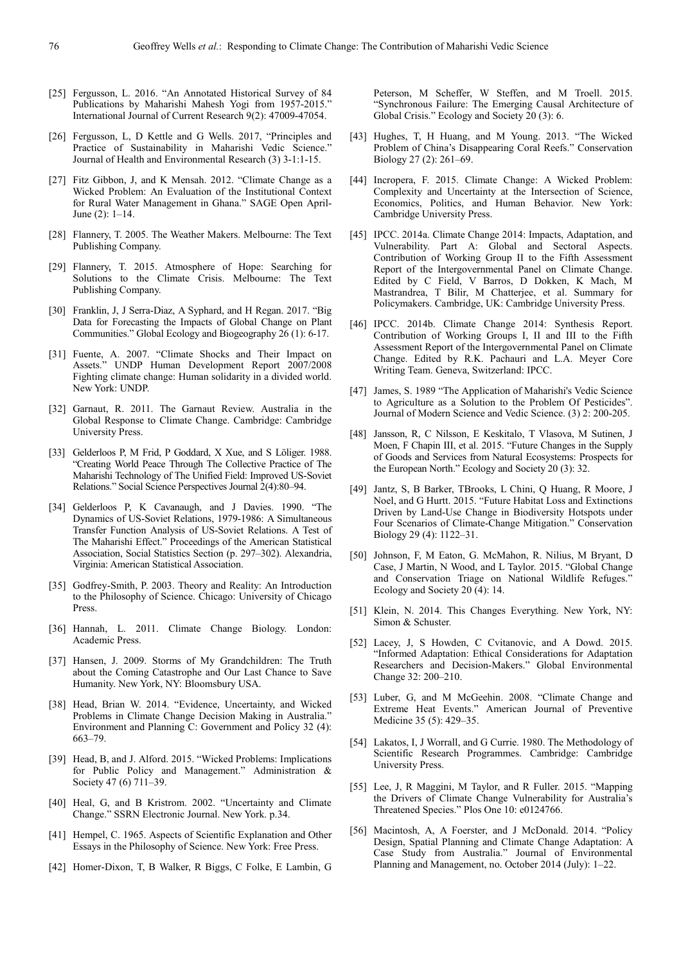- [25] Fergusson, L. 2016. "An Annotated Historical Survey of 84 Publications by Maharishi Mahesh Yogi from 1957-2015." International Journal of Current Research 9(2): 47009-47054.
- [26] Fergusson, L, D Kettle and G Wells. 2017, "Principles and Practice of Sustainability in Maharishi Vedic Science." Journal of Health and Environmental Research (3) 3-1:1-15.
- [27] Fitz Gibbon, J, and K Mensah. 2012. "Climate Change as a Wicked Problem: An Evaluation of the Institutional Context for Rural Water Management in Ghana." SAGE Open April-June (2): 1–14.
- [28] Flannery, T. 2005. The Weather Makers. Melbourne: The Text Publishing Company.
- [29] Flannery, T. 2015. Atmosphere of Hope: Searching for Solutions to the Climate Crisis. Melbourne: The Text Publishing Company.
- [30] Franklin, J, J Serra-Diaz, A Syphard, and H Regan. 2017. "Big Data for Forecasting the Impacts of Global Change on Plant Communities." Global Ecology and Biogeography 26 (1): 6-17.
- [31] Fuente, A. 2007. "Climate Shocks and Their Impact on Assets." UNDP Human Development Report 2007/2008 Fighting climate change: Human solidarity in a divided world. New York: UNDP.
- [32] Garnaut, R. 2011. The Garnaut Review. Australia in the Global Response to Climate Change. Cambridge: Cambridge University Press.
- [33] Gelderloos P, M Frid, P Goddard, X Xue, and S Löliger. 1988. "Creating World Peace Through The Collective Practice of The Maharishi Technology of The Unified Field: Improved US-Soviet Relations." Social Science Perspectives Journal 2(4):80–94.
- [34] Gelderloos P, K Cavanaugh, and J Davies. 1990. "The Dynamics of US-Soviet Relations, 1979-1986: A Simultaneous Transfer Function Analysis of US-Soviet Relations. A Test of The Maharishi Effect." Proceedings of the American Statistical Association, Social Statistics Section (p. 297–302). Alexandria, Virginia: American Statistical Association.
- [35] Godfrey-Smith, P. 2003. Theory and Reality: An Introduction to the Philosophy of Science. Chicago: University of Chicago Press.
- [36] Hannah, L. 2011. Climate Change Biology. London: Academic Press.
- [37] Hansen, J. 2009. Storms of My Grandchildren: The Truth about the Coming Catastrophe and Our Last Chance to Save Humanity. New York, NY: Bloomsbury USA.
- [38] Head, Brian W. 2014. "Evidence, Uncertainty, and Wicked Problems in Climate Change Decision Making in Australia." Environment and Planning C: Government and Policy 32 (4): 663–79.
- [39] Head, B, and J. Alford. 2015. "Wicked Problems: Implications for Public Policy and Management." Administration & Society 47 (6) 711–39.
- [40] Heal, G, and B Kristrom. 2002. "Uncertainty and Climate Change." SSRN Electronic Journal. New York. p.34.
- [41] Hempel, C. 1965. Aspects of Scientific Explanation and Other Essays in the Philosophy of Science. New York: Free Press.
- [42] Homer-Dixon, T, B Walker, R Biggs, C Folke, E Lambin, G

Peterson, M Scheffer, W Steffen, and M Troell. 2015. "Synchronous Failure: The Emerging Causal Architecture of Global Crisis." Ecology and Society 20 (3): 6.

- [43] Hughes, T, H Huang, and M Young. 2013. "The Wicked Problem of China's Disappearing Coral Reefs." Conservation Biology 27 (2): 261–69.
- [44] Incropera, F. 2015. Climate Change: A Wicked Problem: Complexity and Uncertainty at the Intersection of Science, Economics, Politics, and Human Behavior. New York: Cambridge University Press.
- [45] IPCC. 2014a. Climate Change 2014: Impacts, Adaptation, and Vulnerability. Part A: Global and Sectoral Aspects. Contribution of Working Group II to the Fifth Assessment Report of the Intergovernmental Panel on Climate Change. Edited by C Field, V Barros, D Dokken, K Mach, M Mastrandrea, T Bilir, M Chatterjee, et al. Summary for Policymakers. Cambridge, UK: Cambridge University Press.
- [46] IPCC. 2014b. Climate Change 2014: Synthesis Report. Contribution of Working Groups I, II and III to the Fifth Assessment Report of the Intergovernmental Panel on Climate Change. Edited by R.K. Pachauri and L.A. Meyer Core Writing Team. Geneva, Switzerland: IPCC.
- [47] James, S. 1989 "The Application of Maharishi's Vedic Science to Agriculture as a Solution to the Problem Of Pesticides". Journal of Modern Science and Vedic Science. (3) 2: 200-205.
- [48] Jansson, R, C Nilsson, E Keskitalo, T Vlasova, M Sutinen, J Moen, F Chapin III, et al. 2015. "Future Changes in the Supply of Goods and Services from Natural Ecosystems: Prospects for the European North." Ecology and Society 20 (3): 32.
- [49] Jantz, S, B Barker, TBrooks, L Chini, Q Huang, R Moore, J Noel, and G Hurtt. 2015. "Future Habitat Loss and Extinctions Driven by Land-Use Change in Biodiversity Hotspots under Four Scenarios of Climate-Change Mitigation." Conservation Biology 29 (4): 1122–31.
- [50] Johnson, F, M Eaton, G. McMahon, R. Nilius, M Bryant, D Case, J Martin, N Wood, and L Taylor. 2015. "Global Change and Conservation Triage on National Wildlife Refuges.' Ecology and Society 20 (4): 14.
- [51] Klein, N. 2014. This Changes Everything. New York, NY: Simon & Schuster.
- [52] Lacey, J, S Howden, C Cvitanovic, and A Dowd. 2015. "Informed Adaptation: Ethical Considerations for Adaptation Researchers and Decision-Makers." Global Environmental Change 32: 200–210.
- [53] Luber, G, and M McGeehin. 2008. "Climate Change and Extreme Heat Events." American Journal of Preventive Medicine 35 (5): 429–35.
- [54] Lakatos, I, J Worrall, and G Currie. 1980. The Methodology of Scientific Research Programmes. Cambridge: Cambridge University Press.
- [55] Lee, J, R Maggini, M Taylor, and R Fuller. 2015. "Mapping the Drivers of Climate Change Vulnerability for Australia's Threatened Species." Plos One 10: e0124766.
- [56] Macintosh, A, A Foerster, and J McDonald. 2014. "Policy Design, Spatial Planning and Climate Change Adaptation: A Case Study from Australia." Journal of Environmental Planning and Management, no. October 2014 (July): 1–22.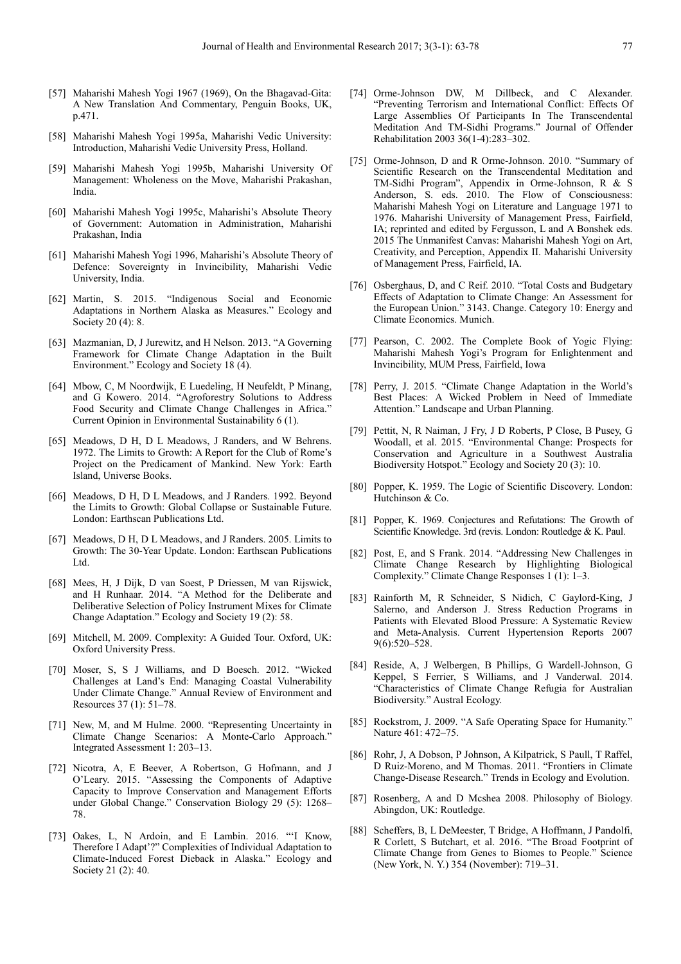- [57] Maharishi Mahesh Yogi 1967 (1969), On the Bhagavad-Gita: A New Translation And Commentary, Penguin Books, UK, p.471.
- [58] Maharishi Mahesh Yogi 1995a, Maharishi Vedic University: Introduction, Maharishi Vedic University Press, Holland.
- [59] Maharishi Mahesh Yogi 1995b, Maharishi University Of Management: Wholeness on the Move, Maharishi Prakashan, India.
- [60] Maharishi Mahesh Yogi 1995c, Maharishi's Absolute Theory of Government: Automation in Administration, Maharishi Prakashan, India
- [61] Maharishi Mahesh Yogi 1996, Maharishi's Absolute Theory of Defence: Sovereignty in Invincibility, Maharishi Vedic University, India.
- [62] Martin, S. 2015. "Indigenous Social and Economic Adaptations in Northern Alaska as Measures." Ecology and Society 20 (4): 8.
- [63] Mazmanian, D, J Jurewitz, and H Nelson. 2013. "A Governing Framework for Climate Change Adaptation in the Built Environment." Ecology and Society 18 (4).
- [64] Mbow, C, M Noordwijk, E Luedeling, H Neufeldt, P Minang, and G Kowero. 2014. "Agroforestry Solutions to Address Food Security and Climate Change Challenges in Africa." Current Opinion in Environmental Sustainability 6 (1).
- [65] Meadows, D H, D L Meadows, J Randers, and W Behrens. 1972. The Limits to Growth: A Report for the Club of Rome's Project on the Predicament of Mankind. New York: Earth Island, Universe Books.
- [66] Meadows, D H, D L Meadows, and J Randers. 1992. Beyond the Limits to Growth: Global Collapse or Sustainable Future. London: Earthscan Publications Ltd.
- [67] Meadows, D H, D L Meadows, and J Randers. 2005. Limits to Growth: The 30-Year Update. London: Earthscan Publications Ltd.
- [68] Mees, H, J Dijk, D van Soest, P Driessen, M van Rijswick, and H Runhaar. 2014. "A Method for the Deliberate and Deliberative Selection of Policy Instrument Mixes for Climate Change Adaptation." Ecology and Society 19 (2): 58.
- [69] Mitchell, M. 2009. Complexity: A Guided Tour. Oxford, UK: Oxford University Press.
- [70] Moser, S, S J Williams, and D Boesch. 2012. "Wicked Challenges at Land's End: Managing Coastal Vulnerability Under Climate Change." Annual Review of Environment and Resources 37 (1): 51–78.
- [71] New, M, and M Hulme. 2000. "Representing Uncertainty in Climate Change Scenarios: A Monte-Carlo Approach." Integrated Assessment 1: 203–13.
- [72] Nicotra, A, E Beever, A Robertson, G Hofmann, and J O'Leary. 2015. "Assessing the Components of Adaptive Capacity to Improve Conservation and Management Efforts under Global Change." Conservation Biology 29 (5): 1268– 78.
- [73] Oakes, L, N Ardoin, and E Lambin. 2016. "'I Know, Therefore I Adapt'?" Complexities of Individual Adaptation to Climate-Induced Forest Dieback in Alaska." Ecology and Society 21 (2): 40.
- [74] Orme-Johnson DW, M Dillbeck, and C Alexander. "Preventing Terrorism and International Conflict: Effects Of Large Assemblies Of Participants In The Transcendental Meditation And TM-Sidhi Programs." Journal of Offender Rehabilitation 2003 36(1-4):283–302.
- [75] Orme-Johnson, D and R Orme-Johnson. 2010. "Summary of Scientific Research on the Transcendental Meditation and TM-Sidhi Program", Appendix in Orme-Johnson, R & S Anderson, S. eds. 2010. The Flow of Consciousness: Maharishi Mahesh Yogi on Literature and Language 1971 to 1976. Maharishi University of Management Press, Fairfield, IA; reprinted and edited by Fergusson, L and A Bonshek eds. 2015 The Unmanifest Canvas: Maharishi Mahesh Yogi on Art, Creativity, and Perception, Appendix II. Maharishi University of Management Press, Fairfield, IA.
- [76] Osberghaus, D, and C Reif. 2010. "Total Costs and Budgetary Effects of Adaptation to Climate Change: An Assessment for the European Union." 3143. Change. Category 10: Energy and Climate Economics. Munich.
- [77] Pearson, C. 2002. The Complete Book of Yogic Flying: Maharishi Mahesh Yogi's Program for Enlightenment and Invincibility, MUM Press, Fairfield, Iowa
- [78] Perry, J. 2015. "Climate Change Adaptation in the World's Best Places: A Wicked Problem in Need of Immediate Attention." Landscape and Urban Planning.
- [79] Pettit, N, R Naiman, J Fry, J D Roberts, P Close, B Pusey, G Woodall, et al. 2015. "Environmental Change: Prospects for Conservation and Agriculture in a Southwest Australia Biodiversity Hotspot." Ecology and Society 20 (3): 10.
- [80] Popper, K. 1959. The Logic of Scientific Discovery. London: Hutchinson & Co.
- [81] Popper, K. 1969. Conjectures and Refutations: The Growth of Scientific Knowledge. 3rd (revis. London: Routledge & K. Paul.
- [82] Post, E, and S Frank. 2014. "Addressing New Challenges in Climate Change Research by Highlighting Biological Complexity." Climate Change Responses 1 (1): 1–3.
- [83] Rainforth M, R Schneider, S Nidich, C Gaylord-King, J Salerno, and Anderson J. Stress Reduction Programs in Patients with Elevated Blood Pressure: A Systematic Review and Meta-Analysis. Current Hypertension Reports 2007 9(6):520–528.
- [84] Reside, A, J Welbergen, B Phillips, G Wardell-Johnson, G Keppel, S Ferrier, S Williams, and J Vanderwal. 2014. "Characteristics of Climate Change Refugia for Australian Biodiversity." Austral Ecology.
- [85] Rockstrom, J. 2009. "A Safe Operating Space for Humanity." Nature 461: 472–75.
- [86] Rohr, J, A Dobson, P Johnson, A Kilpatrick, S Paull, T Raffel, D Ruiz-Moreno, and M Thomas. 2011. "Frontiers in Climate Change-Disease Research." Trends in Ecology and Evolution.
- [87] Rosenberg, A and D Mcshea 2008. Philosophy of Biology. Abingdon, UK: Routledge.
- [88] Scheffers, B, L DeMeester, T Bridge, A Hoffmann, J Pandolfi, R Corlett, S Butchart, et al. 2016. "The Broad Footprint of Climate Change from Genes to Biomes to People." Science (New York, N. Y.) 354 (November): 719–31.